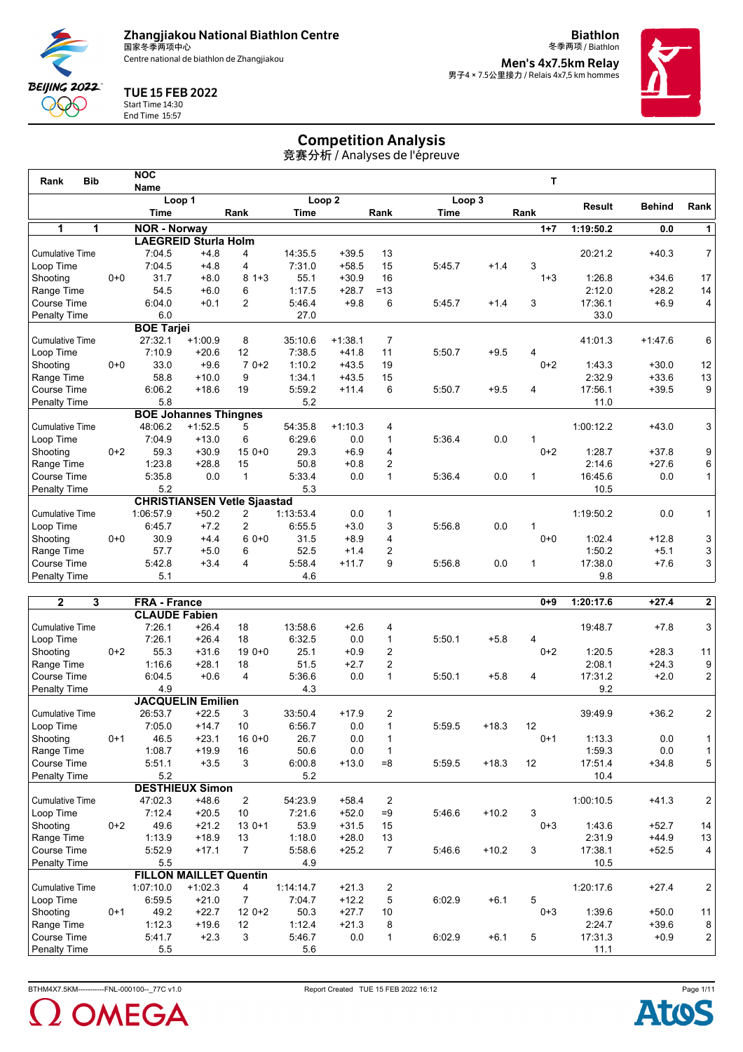

**Biathlon** 冬季两项 / Biathlon **Men's 4x7.5km Relay<br>男子4 × 7.5公里接力 / Relais 4x7,5 km hommes** 



## TUE 15 FEB 2022



Start Time 14:30 End Time 15:57

# Competition Analysis

| <b>Bib</b><br>Rank     |         | <b>NOC</b>          |                              |                                    |             |                   |                |             |        | T       |               |               |                |
|------------------------|---------|---------------------|------------------------------|------------------------------------|-------------|-------------------|----------------|-------------|--------|---------|---------------|---------------|----------------|
|                        |         | <b>Name</b>         |                              |                                    |             |                   |                |             |        |         |               |               |                |
|                        |         |                     | Loop 1                       |                                    |             | Loop <sub>2</sub> |                | Loop 3      |        |         | <b>Result</b> | <b>Behind</b> | Rank           |
|                        |         | <b>Time</b>         |                              | Rank                               | <b>Time</b> |                   | Rank           | <b>Time</b> |        | Rank    |               |               |                |
| 1<br>1                 |         | <b>NOR - Norway</b> |                              |                                    |             |                   |                |             |        | $1 + 7$ | 1:19:50.2     | 0.0           | 1              |
|                        |         |                     | <b>LAEGREID Sturla Holm</b>  |                                    |             |                   |                |             |        |         |               |               |                |
| <b>Cumulative Time</b> |         | 7:04.5              | $+4.8$                       | 4                                  | 14:35.5     | $+39.5$           | 13             |             |        |         | 20:21.2       | $+40.3$       | 7 <sup>1</sup> |
| Loop Time              |         | 7:04.5              | $+4.8$                       | 4                                  | 7:31.0      | $+58.5$           | 15             | 5:45.7      | $+1.4$ | 3       |               |               |                |
| Shooting               | $0 + 0$ | 31.7                | $+8.0$                       | $81+3$                             | 55.1        | $+30.9$           | 16             |             |        | $1 + 3$ | 1:26.8        | $+34.6$       | 17             |
| Range Time             |         | 54.5                | $+6.0$                       | 6                                  | 1:17.5      | $+28.7$           | $=13$          |             |        |         | 2:12.0        | $+28.2$       | 14             |
| Course Time            |         | 6:04.0              | $+0.1$                       | 2                                  | 5:46.4      | $+9.8$            | 6              | 5:45.7      | $+1.4$ | 3       | 17:36.1       | $+6.9$        | 4              |
| <b>Penalty Time</b>    |         | 6.0                 |                              |                                    | 27.0        |                   |                |             |        |         | 33.0          |               |                |
|                        |         | <b>BOE Tarjei</b>   |                              |                                    |             |                   |                |             |        |         |               |               |                |
| <b>Cumulative Time</b> |         | 27:32.1             | $+1:00.9$                    | 8                                  | 35:10.6     | $+1:38.1$         | $\overline{7}$ |             |        |         | 41:01.3       | $+1:47.6$     | 6              |
| Loop Time              |         | 7:10.9              | $+20.6$                      | 12                                 | 7:38.5      | $+41.8$           | 11             | 5:50.7      | $+9.5$ | 4       |               |               |                |
| Shooting               | $0 + 0$ | 33.0                | $+9.6$                       | $70+2$                             | 1:10.2      | $+43.5$           | 19             |             |        | $0+2$   | 1:43.3        | $+30.0$       | 12             |
| Range Time             |         | 58.8                | $+10.0$                      | 9                                  | 1:34.1      | $+43.5$           | 15             |             |        |         | 2:32.9        | $+33.6$       | 13             |
| Course Time            |         | 6:06.2              | $+18.6$                      | 19                                 | 5:59.2      | $+11.4$           | 6              | 5:50.7      | $+9.5$ | 4       | 17:56.1       | $+39.5$       | 9              |
| <b>Penalty Time</b>    |         | 5.8                 |                              |                                    | 5.2         |                   |                |             |        |         | 11.0          |               |                |
|                        |         |                     | <b>BOE Johannes Thingnes</b> |                                    |             |                   |                |             |        |         |               |               |                |
| <b>Cumulative Time</b> |         | 48:06.2             | $+1:52.5$                    | 5                                  | 54:35.8     | $+1:10.3$         | 4              |             |        |         | 1:00:12.2     | $+43.0$       | 3              |
| Loop Time              |         | 7:04.9              | $+13.0$                      | 6                                  | 6:29.6      | 0.0               | 1              | 5:36.4      | 0.0    |         |               |               |                |
| Shooting               | $0+2$   | 59.3                | $+30.9$                      | $150+0$                            | 29.3        | $+6.9$            | 4              |             |        | $0 + 2$ | 1:28.7        | $+37.8$       | 9              |
| Range Time             |         | 1:23.8              | $+28.8$                      | 15                                 | 50.8        | $+0.8$            | $\overline{2}$ |             |        |         | 2:14.6        | $+27.6$       | 6              |
| Course Time            |         | 5:35.8              | 0.0                          | $\mathbf{1}$                       | 5:33.4      | 0.0               | 1              | 5:36.4      | 0.0    | 1       | 16:45.6       | 0.0           | $\mathbf{1}$   |
| <b>Penalty Time</b>    |         | 5.2                 |                              |                                    | 5.3         |                   |                |             |        |         | 10.5          |               |                |
|                        |         |                     |                              | <b>CHRISTIANSEN Vetle Sjaastad</b> |             |                   |                |             |        |         |               |               |                |
| <b>Cumulative Time</b> |         | 1:06:57.9           | $+50.2$                      | $\overline{2}$                     | 1:13:53.4   | 0.0               | $\mathbf{1}$   |             |        |         | 1:19:50.2     | 0.0           | $\mathbf{1}$   |
| Loop Time              |         | 6:45.7              | $+7.2$                       | 2                                  | 6:55.5      | $+3.0$            | 3              | 5:56.8      | 0.0    | 1       |               |               |                |
| Shooting               | $0 + 0$ | 30.9                | $+4.4$                       | $60+0$                             | 31.5        | $+8.9$            | 4              |             |        | $0 + 0$ | 1:02.4        | $+12.8$       | 3              |
| Range Time             |         | 57.7                | $+5.0$                       | 6                                  | 52.5        | $+1.4$            | $\overline{2}$ |             |        |         | 1:50.2        | $+5.1$        | 3              |
| Course Time            |         | 5:42.8              | $+3.4$                       | 4                                  | 5:58.4      | $+11.7$           | 9              | 5:56.8      | 0.0    | 1       | 17:38.0       | $+7.6$        | 3              |
| Penalty Time           |         | 5.1                 |                              |                                    | 4.6         |                   |                |             |        |         | 9.8           |               |                |
|                        |         |                     |                              |                                    |             |                   |                |             |        |         |               |               |                |

| $\overline{2}$<br>3    |         | <b>FRA - France</b>  |                               |                |           |         |                |        |         | $0 + 9$ | 1:20:17.6 | $+27.4$ | 2              |
|------------------------|---------|----------------------|-------------------------------|----------------|-----------|---------|----------------|--------|---------|---------|-----------|---------|----------------|
|                        |         | <b>CLAUDE Fabien</b> |                               |                |           |         |                |        |         |         |           |         |                |
| <b>Cumulative Time</b> |         | 7:26.1               | $+26.4$                       | 18             | 13:58.6   | $+2.6$  | 4              |        |         |         | 19:48.7   | $+7.8$  | 3              |
| Loop Time              |         | 7:26.1               | $+26.4$                       | 18             | 6:32.5    | 0.0     | 1              | 5:50.1 | $+5.8$  | 4       |           |         |                |
| Shooting               | $0+2$   | 55.3                 | $+31.6$                       | $190+0$        | 25.1      | $+0.9$  | $\overline{2}$ |        |         | $0+2$   | 1:20.5    | $+28.3$ | 11             |
| Range Time             |         | 1:16.6               | $+28.1$                       | 18             | 51.5      | $+2.7$  | 2              |        |         |         | 2:08.1    | $+24.3$ | 9              |
| Course Time            |         | 6:04.5               | $+0.6$                        | 4              | 5:36.6    | 0.0     | 1              | 5:50.1 | $+5.8$  | 4       | 17:31.2   | $+2.0$  | $\overline{c}$ |
| Penalty Time           |         | 4.9                  |                               |                | 4.3       |         |                |        |         |         | 9.2       |         |                |
|                        |         |                      | <b>JACQUELIN Emilien</b>      |                |           |         |                |        |         |         |           |         |                |
| <b>Cumulative Time</b> |         | 26:53.7              | $+22.5$                       | 3              | 33:50.4   | $+17.9$ | $\overline{2}$ |        |         |         | 39:49.9   | $+36.2$ | 2              |
| Loop Time              |         | 7:05.0               | $+14.7$                       | 10             | 6:56.7    | 0.0     | 1              | 5:59.5 | $+18.3$ | 12      |           |         |                |
| Shooting               | $0 + 1$ | 46.5                 | $+23.1$                       | $160++0$       | 26.7      | 0.0     |                |        |         | $0 + 1$ | 1:13.3    | 0.0     | 1              |
| Range Time             |         | 1:08.7               | $+19.9$                       | 16             | 50.6      | 0.0     |                |        |         |         | 1:59.3    | 0.0     | $\mathbf{1}$   |
| Course Time            |         | 5:51.1               | $+3.5$                        | 3              | 6:00.8    | $+13.0$ | $= 8$          | 5:59.5 | $+18.3$ | 12      | 17:51.4   | $+34.8$ | 5              |
| <b>Penalty Time</b>    |         | 5.2                  |                               |                | 5.2       |         |                |        |         |         | 10.4      |         |                |
|                        |         |                      | <b>DESTHIEUX Simon</b>        |                |           |         |                |        |         |         |           |         |                |
| <b>Cumulative Time</b> |         | 47:02.3              | $+48.6$                       | 2              | 54:23.9   | $+58.4$ | 2              |        |         |         | 1:00:10.5 | $+41.3$ | $\overline{c}$ |
| Loop Time              |         | 7:12.4               | $+20.5$                       | 10             | 7:21.6    | $+52.0$ | $=9$           | 5:46.6 | $+10.2$ | 3       |           |         |                |
| Shooting               | $0+2$   | 49.6                 | $+21.2$                       | $13.0 + 1$     | 53.9      | $+31.5$ | 15             |        |         | $0 + 3$ | 1:43.6    | $+52.7$ | 14             |
| Range Time             |         | 1:13.9               | $+18.9$                       | 13             | 1:18.0    | $+28.0$ | 13             |        |         |         | 2:31.9    | $+44.9$ | 13             |
| Course Time            |         | 5:52.9               | $+17.1$                       | $\overline{7}$ | 5:58.6    | $+25.2$ | $\overline{7}$ | 5:46.6 | $+10.2$ | 3       | 17:38.1   | $+52.5$ | $\overline{4}$ |
| Penalty Time           |         | 5.5                  |                               |                | 4.9       |         |                |        |         |         | 10.5      |         |                |
|                        |         |                      | <b>FILLON MAILLET Quentin</b> |                |           |         |                |        |         |         |           |         |                |
| <b>Cumulative Time</b> |         | 1:07:10.0            | $+1:02.3$                     | 4              | 1:14:14.7 | $+21.3$ | 2              |        |         |         | 1:20:17.6 | $+27.4$ | 2              |
| Loop Time              |         | 6:59.5               | $+21.0$                       | $\overline{7}$ | 7:04.7    | $+12.2$ | 5              | 6:02.9 | $+6.1$  | 5       |           |         |                |
| Shooting               | $0 + 1$ | 49.2                 | $+22.7$                       | $120+2$        | 50.3      | $+27.7$ | 10             |        |         | $0 + 3$ | 1:39.6    | $+50.0$ | 11             |
| Range Time             |         | 1:12.3               | $+19.6$                       | 12             | 1:12.4    | $+21.3$ | 8              |        |         |         | 2:24.7    | $+39.6$ | $\bf 8$        |
| Course Time            |         | 5:41.7               | $+2.3$                        | 3              | 5:46.7    | 0.0     | 1              | 6:02.9 | $+6.1$  | 5       | 17:31.3   | $+0.9$  | $\overline{2}$ |
| <b>Penalty Time</b>    |         | 5.5                  |                               |                | 5.6       |         |                |        |         |         | 11.1      |         |                |





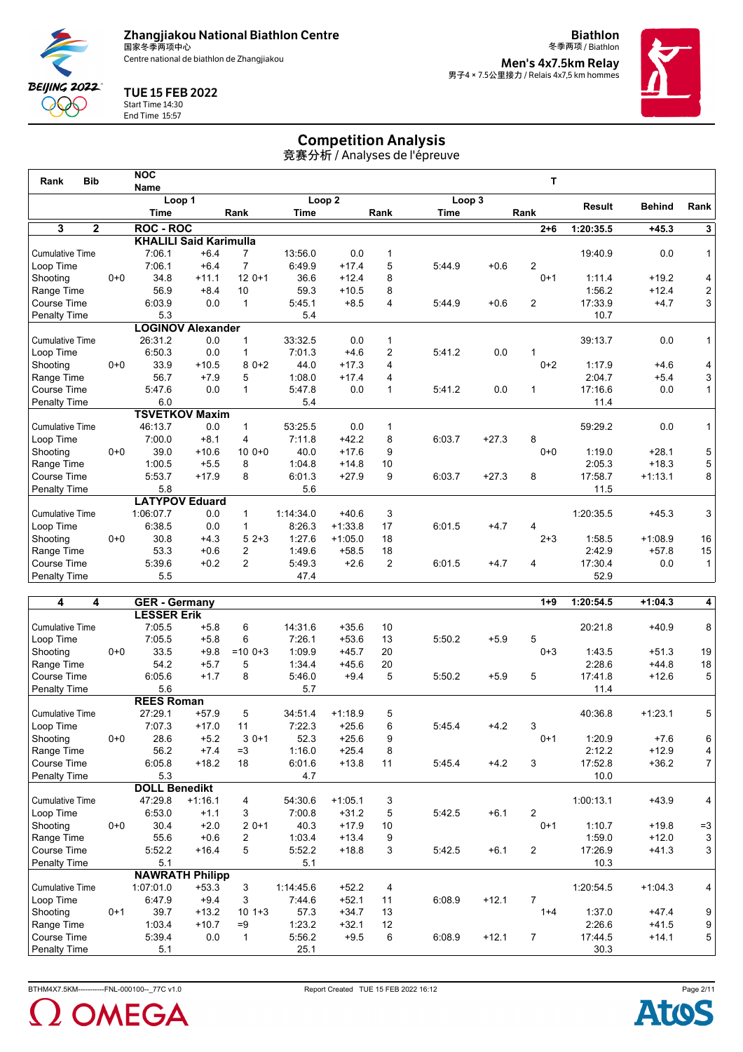

**Biathlon** 冬季两项 / Biathlon **Men's 4x7.5km Relay<br>男子4 × 7.5公里接力 / Relais 4x7,5 km hommes** 



## TUE 15 FEB 2022



Start Time 14:30 End Time 15:57

# Competition Analysis

| <b>Bib</b><br>Rank     |         | <b>NOC</b>       |                               |                |             |                   |              |             |         | т              |           |               |                |
|------------------------|---------|------------------|-------------------------------|----------------|-------------|-------------------|--------------|-------------|---------|----------------|-----------|---------------|----------------|
|                        |         | <b>Name</b>      | Loop 1                        |                |             | Loop <sub>2</sub> |              | Loop 3      |         |                |           |               |                |
|                        |         | <b>Time</b>      |                               | Rank           | <b>Time</b> |                   | Rank         | <b>Time</b> |         | Rank           | Result    | <b>Behind</b> | Rank           |
| 3<br>2                 |         | <b>ROC - ROC</b> |                               |                |             |                   |              |             |         | $2 + 6$        | 1:20:35.5 | $+45.3$       | 3              |
|                        |         |                  | <b>KHALILI Said Karimulla</b> |                |             |                   |              |             |         |                |           |               |                |
| <b>Cumulative Time</b> |         | 7:06.1           | $+6.4$                        | $\overline{7}$ | 13:56.0     | 0.0               | 1            |             |         |                | 19:40.9   | 0.0           | $\mathbf{1}$   |
| Loop Time              |         | 7:06.1           | $+6.4$                        | $\overline{7}$ | 6:49.9      | $+17.4$           | 5            | 5:44.9      | $+0.6$  | $\overline{2}$ |           |               |                |
| Shooting               | $0 + 0$ | 34.8             | $+11.1$                       | $120+1$        | 36.6        | $+12.4$           | 8            |             |         | $0+1$          | 1:11.4    | $+19.2$       | 4              |
| Range Time             |         | 56.9             | $+8.4$                        | 10             | 59.3        | $+10.5$           | 8            |             |         |                | 1:56.2    | $+12.4$       | 2              |
| Course Time            |         | 6:03.9           | 0.0                           | $\mathbf{1}$   | 5:45.1      | $+8.5$            | 4            | 5:44.9      | $+0.6$  | 2              | 17:33.9   | $+4.7$        | 3              |
| <b>Penalty Time</b>    |         | 5.3              |                               |                | 5.4         |                   |              |             |         |                | 10.7      |               |                |
|                        |         |                  | <b>LOGINOV Alexander</b>      |                |             |                   |              |             |         |                |           |               |                |
| <b>Cumulative Time</b> |         | 26:31.2          | 0.0                           | 1              | 33:32.5     | 0.0               | 1            |             |         |                | 39:13.7   | 0.0           | $\mathbf{1}$   |
| Loop Time              |         | 6:50.3           | 0.0                           | 1              | 7:01.3      | $+4.6$            | 2            | 5:41.2      | 0.0     |                |           |               |                |
| Shooting               | $0 + 0$ | 33.9             | $+10.5$                       | $80+2$         | 44.0        | $+17.3$           | 4            |             |         | $0+2$          | 1:17.9    | $+4.6$        | 4              |
| Range Time             |         | 56.7             | $+7.9$                        | 5              | 1:08.0      | $+17.4$           | 4            |             |         |                | 2:04.7    | $+5.4$        | 3              |
| Course Time            |         | 5:47.6           | 0.0                           | $\mathbf 1$    | 5:47.8      | 0.0               | $\mathbf{1}$ | 5:41.2      | 0.0     | 1              | 17:16.6   | 0.0           | $\mathbf{1}$   |
| <b>Penalty Time</b>    |         | 6.0              |                               |                | 5.4         |                   |              |             |         |                | 11.4      |               |                |
|                        |         |                  | <b>TSVETKOV Maxim</b>         |                |             |                   |              |             |         |                |           |               |                |
| <b>Cumulative Time</b> |         | 46:13.7          | 0.0                           | $\mathbf{1}$   | 53:25.5     | 0.0               | 1            |             |         |                | 59:29.2   | 0.0           | $\mathbf{1}$   |
| Loop Time              |         | 7:00.0           | $+8.1$                        | 4              | 7:11.8      | $+42.2$           | 8            | 6:03.7      | $+27.3$ | 8              |           |               |                |
| Shooting               | $0 + 0$ | 39.0             | $+10.6$                       | $100+0$        | 40.0        | $+17.6$           | 9            |             |         | $0 + 0$        | 1:19.0    | $+28.1$       | 5              |
| Range Time             |         | 1:00.5           | $+5.5$                        | 8              | 1:04.8      | $+14.8$           | 10           |             |         |                | 2:05.3    | $+18.3$       | 5              |
| Course Time            |         | 5:53.7           | $+17.9$                       | 8              | 6:01.3      | $+27.9$           | 9            | 6:03.7      | $+27.3$ | 8              | 17:58.7   | $+1:13.1$     | 8              |
| <b>Penalty Time</b>    |         | 5.8              |                               |                | 5.6         |                   |              |             |         |                | 11.5      |               |                |
|                        |         |                  | <b>LATYPOV Eduard</b>         |                |             |                   |              |             |         |                |           |               |                |
| <b>Cumulative Time</b> |         | 1:06:07.7        | 0.0                           | $\mathbf{1}$   | 1:14:34.0   | $+40.6$           | 3            |             |         |                | 1:20:35.5 | $+45.3$       | 3              |
| Loop Time              |         | 6:38.5           | 0.0                           | $\mathbf{1}$   | 8:26.3      | $+1:33.8$         | 17           | 6:01.5      | $+4.7$  | 4              |           |               |                |
| Shooting               | $0 + 0$ | 30.8             | $+4.3$                        | $52+3$         | 1:27.6      | $+1:05.0$         | 18           |             |         | $2 + 3$        | 1:58.5    | $+1:08.9$     | 16             |
| Range Time             |         | 53.3             | $+0.6$                        | 2              | 1:49.6      | $+58.5$           | 18           |             |         |                | 2:42.9    | $+57.8$       | 15             |
| Course Time            |         | 5:39.6           | $+0.2$                        | 2              | 5:49.3      | $+2.6$            | 2            | 6:01.5      | $+4.7$  | 4              | 17:30.4   | 0.0           | 1 <sup>1</sup> |
| Penalty Time           |         | 5.5              |                               |                | 47.4        |                   |              |             |         |                | 52.9      |               |                |
|                        |         |                  |                               |                |             |                   |              |             |         |                |           |               |                |

| 4<br>4                 |         | <b>GER</b> - Germany |                        |              |           |           |                 |        |         | $1 + 9$        | 1:20:54.5 | $+1:04.3$ | 4              |
|------------------------|---------|----------------------|------------------------|--------------|-----------|-----------|-----------------|--------|---------|----------------|-----------|-----------|----------------|
|                        |         | <b>LESSER Erik</b>   |                        |              |           |           |                 |        |         |                |           |           |                |
| <b>Cumulative Time</b> |         | 7:05.5               | $+5.8$                 | 6            | 14:31.6   | $+35.6$   | 10              |        |         |                | 20:21.8   | $+40.9$   | 8              |
| Loop Time              |         | 7:05.5               | $+5.8$                 | 6            | 7:26.1    | $+53.6$   | 13              | 5:50.2 | $+5.9$  | 5              |           |           |                |
| Shooting               | $0 + 0$ | 33.5                 | $+9.8$                 | $=100+3$     | 1:09.9    | $+45.7$   | 20              |        |         | $0 + 3$        | 1:43.5    | $+51.3$   | 19             |
| Range Time             |         | 54.2                 | $+5.7$                 | 5            | 1:34.4    | $+45.6$   | 20              |        |         |                | 2:28.6    | $+44.8$   | 18             |
| Course Time            |         | 6:05.6               | $+1.7$                 | 8            | 5:46.0    | $+9.4$    | 5               | 5:50.2 | $+5.9$  | 5              | 17:41.8   | $+12.6$   | 5              |
| Penalty Time           |         | 5.6                  |                        |              | 5.7       |           |                 |        |         |                | 11.4      |           |                |
|                        |         | <b>REES Roman</b>    |                        |              |           |           |                 |        |         |                |           |           |                |
| <b>Cumulative Time</b> |         | 27:29.1              | $+57.9$                | 5            | 34:51.4   | $+1:18.9$ | 5               |        |         |                | 40:36.8   | $+1:23.1$ | 5              |
| Loop Time              |         | 7:07.3               | $+17.0$                | 11           | 7:22.3    | $+25.6$   | 6               | 5:45.4 | $+4.2$  | 3              |           |           |                |
| Shooting               | $0+0$   | 28.6                 | $+5.2$                 | $30+1$       | 52.3      | $+25.6$   | 9               |        |         | $0+1$          | 1:20.9    | $+7.6$    | 6              |
| Range Time             |         | 56.2                 | $+7.4$                 | $=3$         | 1:16.0    | $+25.4$   | 8               |        |         |                | 2:12.2    | $+12.9$   | $\overline{4}$ |
| <b>Course Time</b>     |         | 6:05.8               | $+18.2$                | 18           | 6:01.6    | $+13.8$   | 11              | 5:45.4 | $+4.2$  | 3              | 17:52.8   | $+36.2$   | $\overline{7}$ |
| Penalty Time           |         | 5.3                  |                        |              | 4.7       |           |                 |        |         |                | 10.0      |           |                |
|                        |         | <b>DOLL Benedikt</b> |                        |              |           |           |                 |        |         |                |           |           |                |
| <b>Cumulative Time</b> |         | 47:29.8              | $+1:16.1$              | 4            | 54:30.6   | $+1:05.1$ | 3               |        |         |                | 1:00:13.1 | $+43.9$   | 4              |
| Loop Time              |         | 6:53.0               | $+1.1$                 | 3            | 7:00.8    | $+31.2$   | 5               | 5:42.5 | $+6.1$  | $\overline{2}$ |           |           |                |
| Shooting               | $0 + 0$ | 30.4                 | $+2.0$                 | $20+1$       | 40.3      | $+17.9$   | 10 <sup>°</sup> |        |         | $0+1$          | 1:10.7    | $+19.8$   | $=3$           |
| Range Time             |         | 55.6                 | $+0.6$                 | 2            | 1:03.4    | $+13.4$   | 9               |        |         |                | 1:59.0    | $+12.0$   | 3              |
| Course Time            |         | 5:52.2               | $+16.4$                | 5            | 5:52.2    | $+18.8$   | 3               | 5:42.5 | $+6.1$  | 2              | 17:26.9   | $+41.3$   | 3              |
| <b>Penalty Time</b>    |         | 5.1                  |                        |              | 5.1       |           |                 |        |         |                | 10.3      |           |                |
|                        |         |                      | <b>NAWRATH Philipp</b> |              |           |           |                 |        |         |                |           |           |                |
| <b>Cumulative Time</b> |         | 1:07:01.0            | $+53.3$                | 3            | 1:14:45.6 | $+52.2$   | 4               |        |         |                | 1:20:54.5 | $+1:04.3$ | 4              |
| Loop Time              |         | 6:47.9               | $+9.4$                 | 3            | 7:44.6    | $+52.1$   | 11              | 6:08.9 | $+12.1$ | $\overline{7}$ |           |           |                |
| Shooting               | $0+1$   | 39.7                 | $+13.2$                | $101+3$      | 57.3      | $+34.7$   | 13              |        |         | $1 + 4$        | 1:37.0    | $+47.4$   | 9              |
| Range Time             |         | 1:03.4               | $+10.7$                | $=9$         | 1:23.2    | $+32.1$   | 12              |        |         |                | 2:26.6    | $+41.5$   | 9              |
| Course Time            |         | 5:39.4               | 0.0                    | $\mathbf{1}$ | 5:56.2    | $+9.5$    | 6               | 6:08.9 | $+12.1$ | $\overline{7}$ | 17:44.5   | $+14.1$   | 5              |
| <b>Penalty Time</b>    |         | 5.1                  |                        |              | 25.1      |           |                 |        |         |                | 30.3      |           |                |



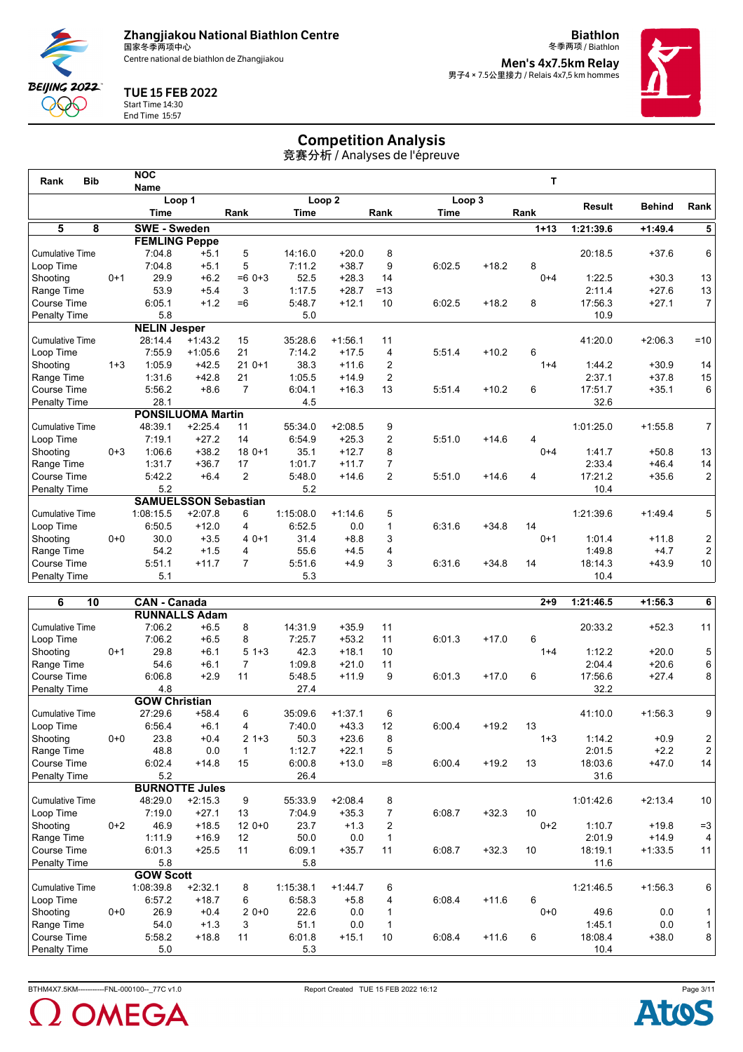

**Biathlon** 冬季两项 / Biathlon **Men's 4x7.5km Relay<br>男子4 × 7.5公里接力 / Relais 4x7,5 km hommes** 



## TUE 15 FEB 2022



Start Time 14:30 End Time 15:57

# Competition Analysis

| <b>Bib</b><br>Rank     |         | <b>NOC</b>                  |           |                |           |                   |                |             |         | т        |               |               |                |
|------------------------|---------|-----------------------------|-----------|----------------|-----------|-------------------|----------------|-------------|---------|----------|---------------|---------------|----------------|
|                        |         | <b>Name</b>                 |           |                |           |                   |                |             |         |          |               |               |                |
|                        |         | Loop 1                      |           |                |           | Loop <sub>2</sub> |                | Loop 3      |         |          | <b>Result</b> | <b>Behind</b> | Rank           |
|                        |         | <b>Time</b>                 |           | Rank           | Time      |                   | Rank           | <b>Time</b> |         | Rank     |               |               |                |
| 5<br>8                 |         | <b>SWE - Sweden</b>         |           |                |           |                   |                |             |         | $1 + 13$ | 1:21:39.6     | $+1:49.4$     | 5 <sup>1</sup> |
|                        |         | <b>FEMLING Peppe</b>        |           |                |           |                   |                |             |         |          |               |               |                |
| <b>Cumulative Time</b> |         | 7:04.8                      | $+5.1$    | 5              | 14:16.0   | $+20.0$           | 8              |             |         |          | 20:18.5       | $+37.6$       | 6              |
| Loop Time              |         | 7:04.8                      | $+5.1$    | 5              | 7:11.2    | $+38.7$           | 9              | 6:02.5      | $+18.2$ | 8        |               |               |                |
| Shooting               | $0 + 1$ | 29.9                        | $+6.2$    | $=60+3$        | 52.5      | $+28.3$           | 14             |             |         | $0 + 4$  | 1:22.5        | $+30.3$       | 13             |
| Range Time             |         | 53.9                        | $+5.4$    | 3              | 1:17.5    | $+28.7$           | $=13$          |             |         |          | 2:11.4        | $+27.6$       | 13             |
| Course Time            |         | 6:05.1                      | $+1.2$    | $=6$           | 5:48.7    | $+12.1$           | 10             | 6:02.5      | $+18.2$ | 8        | 17:56.3       | $+27.1$       | 7 <sup>1</sup> |
| <b>Penalty Time</b>    |         | 5.8                         |           |                | 5.0       |                   |                |             |         |          | 10.9          |               |                |
|                        |         | <b>NELIN Jesper</b>         |           |                |           |                   |                |             |         |          |               |               |                |
| <b>Cumulative Time</b> |         | 28:14.4                     | $+1:43.2$ | 15             | 35:28.6   | $+1:56.1$         | 11             |             |         |          | 41:20.0       | $+2:06.3$     | $=10$          |
| Loop Time              |         | 7:55.9                      | $+1:05.6$ | 21             | 7:14.2    | $+17.5$           | 4              | 5:51.4      | $+10.2$ | 6        |               |               |                |
| Shooting               | $1 + 3$ | 1:05.9                      | $+42.5$   | $210+1$        | 38.3      | $+11.6$           | $\overline{2}$ |             |         | $1 + 4$  | 1:44.2        | $+30.9$       | 14             |
| Range Time             |         | 1:31.6                      | $+42.8$   | 21             | 1:05.5    | $+14.9$           | $\overline{2}$ |             |         |          | 2:37.1        | $+37.8$       | 15             |
| Course Time            |         | 5:56.2                      | $+8.6$    | $\overline{7}$ | 6:04.1    | $+16.3$           | 13             | 5:51.4      | $+10.2$ | 6        | 17:51.7       | $+35.1$       | 6              |
| <b>Penalty Time</b>    |         | 28.1                        |           |                | 4.5       |                   |                |             |         |          | 32.6          |               |                |
|                        |         | <b>PONSILUOMA Martin</b>    |           |                |           |                   |                |             |         |          |               |               |                |
| <b>Cumulative Time</b> |         | 48:39.1                     | $+2:25.4$ | 11             | 55:34.0   | $+2:08.5$         | 9              |             |         |          | 1:01:25.0     | $+1:55.8$     | 7 <sup>1</sup> |
| Loop Time              |         | 7:19.1                      | $+27.2$   | 14             | 6:54.9    | $+25.3$           | $\overline{2}$ | 5:51.0      | $+14.6$ | 4        |               |               |                |
| Shooting               | $0 + 3$ | 1:06.6                      | $+38.2$   | $180+1$        | 35.1      | $+12.7$           | 8              |             |         | $0 + 4$  | 1:41.7        | $+50.8$       | 13             |
| Range Time             |         | 1:31.7                      | $+36.7$   | 17             | 1:01.7    | $+11.7$           | $\overline{7}$ |             |         |          | 2:33.4        | $+46.4$       | 14             |
| Course Time            |         | 5:42.2                      | $+6.4$    | 2              | 5:48.0    | $+14.6$           | 2              | 5:51.0      | $+14.6$ | 4        | 17:21.2       | $+35.6$       | 2              |
| Penalty Time           |         | 5.2                         |           |                | 5.2       |                   |                |             |         |          | 10.4          |               |                |
|                        |         | <b>SAMUELSSON Sebastian</b> |           |                |           |                   |                |             |         |          |               |               |                |
| <b>Cumulative Time</b> |         | 1:08:15.5                   | $+2:07.8$ | 6              | 1:15:08.0 | $+1:14.6$         | 5              |             |         |          | 1:21:39.6     | $+1:49.4$     | 5              |
| Loop Time              |         | 6:50.5                      | $+12.0$   | 4              | 6:52.5    | 0.0               | $\mathbf{1}$   | 6:31.6      | $+34.8$ | 14       |               |               |                |
| Shooting               | $0 + 0$ | 30.0                        | $+3.5$    | $40+1$         | 31.4      | $+8.8$            | 3              |             |         | $0+1$    | 1:01.4        | $+11.8$       | $\mathbf{2}$   |
| Range Time             |         | 54.2                        | $+1.5$    | 4              | 55.6      | $+4.5$            | 4              |             |         |          | 1:49.8        | $+4.7$        | 2              |
| Course Time            |         | 5:51.1                      | $+11.7$   | $\overline{7}$ | 5:51.6    | $+4.9$            | 3              | 6:31.6      | $+34.8$ | 14       | 18:14.3       | $+43.9$       | 10             |
| <b>Penalty Time</b>    |         | 5.1                         |           |                | 5.3       |                   |                |             |         |          | 10.4          |               |                |

| 6<br>10                |       | <b>CAN - Canada</b>  |                       |                |           |           |                |        |         | $2 + 9$ | 1:21:46.5 | $+1:56.3$ | 6              |
|------------------------|-------|----------------------|-----------------------|----------------|-----------|-----------|----------------|--------|---------|---------|-----------|-----------|----------------|
|                        |       |                      | <b>RUNNALLS Adam</b>  |                |           |           |                |        |         |         |           |           |                |
| <b>Cumulative Time</b> |       | 7:06.2               | $+6.5$                | 8              | 14:31.9   | $+35.9$   | 11             |        |         |         | 20:33.2   | $+52.3$   | 11             |
| Loop Time              |       | 7:06.2               | $+6.5$                | 8              | 7:25.7    | $+53.2$   | 11             | 6:01.3 | $+17.0$ | 6       |           |           |                |
| Shooting               | $0+1$ | 29.8                 | $+6.1$                | $51+3$         | 42.3      | $+18.1$   | 10             |        |         | $1 + 4$ | 1:12.2    | $+20.0$   | 5              |
| Range Time             |       | 54.6                 | $+6.1$                | $\overline{7}$ | 1:09.8    | $+21.0$   | 11             |        |         |         | 2:04.4    | $+20.6$   | 6              |
| <b>Course Time</b>     |       | 6:06.8               | $+2.9$                | 11             | 5:48.5    | $+11.9$   | 9              | 6:01.3 | $+17.0$ | 6       | 17:56.6   | $+27.4$   | 8              |
| <b>Penalty Time</b>    |       | 4.8                  |                       |                | 27.4      |           |                |        |         |         | 32.2      |           |                |
|                        |       | <b>GOW Christian</b> |                       |                |           |           |                |        |         |         |           |           |                |
| <b>Cumulative Time</b> |       | 27:29.6              | $+58.4$               | 6              | 35:09.6   | $+1:37.1$ | 6              |        |         |         | 41:10.0   | $+1:56.3$ | 9              |
| Loop Time              |       | 6:56.4               | $+6.1$                | 4              | 7:40.0    | $+43.3$   | 12             | 6:00.4 | $+19.2$ | 13      |           |           |                |
| Shooting               | $0+0$ | 23.8                 | $+0.4$                | $21+3$         | 50.3      | $+23.6$   | 8              |        |         | $1 + 3$ | 1:14.2    | $+0.9$    | $\frac{2}{2}$  |
| Range Time             |       | 48.8                 | 0.0                   | $\mathbf 1$    | 1:12.7    | $+22.1$   | 5              |        |         |         | 2:01.5    | $+2.2$    |                |
| <b>Course Time</b>     |       | 6:02.4               | $+14.8$               | 15             | 6:00.8    | $+13.0$   | $= 8$          | 6:00.4 | $+19.2$ | 13      | 18:03.6   | $+47.0$   | 14             |
| Penalty Time           |       | 5.2                  |                       |                | 26.4      |           |                |        |         |         | 31.6      |           |                |
|                        |       |                      | <b>BURNOTTE Jules</b> |                |           |           |                |        |         |         |           |           |                |
| <b>Cumulative Time</b> |       | 48:29.0              | $+2:15.3$             | 9              | 55:33.9   | $+2:08.4$ | 8              |        |         |         | 1:01:42.6 | $+2:13.4$ | 10             |
| Loop Time              |       | 7:19.0               | $+27.1$               | 13             | 7:04.9    | $+35.3$   | $\overline{7}$ | 6:08.7 | $+32.3$ | 10      |           |           |                |
| Shooting               | $0+2$ | 46.9                 | $+18.5$               | $120+0$        | 23.7      | $+1.3$    | $\overline{2}$ |        |         | $0+2$   | 1:10.7    | $+19.8$   | $=3$           |
| Range Time             |       | 1:11.9               | $+16.9$               | 12             | 50.0      | 0.0       | 1              |        |         |         | 2:01.9    | $+14.9$   | $\overline{4}$ |
| <b>Course Time</b>     |       | 6:01.3               | $+25.5$               | 11             | 6:09.1    | $+35.7$   | 11             | 6:08.7 | $+32.3$ | 10      | 18:19.1   | $+1:33.5$ | 11             |
| Penalty Time           |       | 5.8                  |                       |                | 5.8       |           |                |        |         |         | 11.6      |           |                |
|                        |       | <b>GOW Scott</b>     |                       |                |           |           |                |        |         |         |           |           |                |
| <b>Cumulative Time</b> |       | 1:08:39.8            | $+2:32.1$             | 8              | 1:15:38.1 | $+1:44.7$ | 6              |        |         |         | 1:21:46.5 | $+1:56.3$ | 6              |
| Loop Time              |       | 6:57.2               | $+18.7$               | 6              | 6:58.3    | $+5.8$    | 4              | 6:08.4 | $+11.6$ | 6       |           |           |                |
| Shooting               | $0+0$ | 26.9                 | $+0.4$                | $20+0$         | 22.6      | 0.0       |                |        |         | $0 + 0$ | 49.6      | 0.0       | 1              |
| Range Time             |       | 54.0                 | $+1.3$                | 3              | 51.1      | 0.0       |                |        |         |         | 1:45.1    | 0.0       | $\mathbf{1}$   |
| <b>Course Time</b>     |       | 5:58.2               | $+18.8$               | 11             | 6:01.8    | $+15.1$   | 10             | 6:08.4 | $+11.6$ | 6       | 18:08.4   | $+38.0$   | 8              |
| <b>Penalty Time</b>    |       | 5.0                  |                       |                | 5.3       |           |                |        |         |         | 10.4      |           |                |



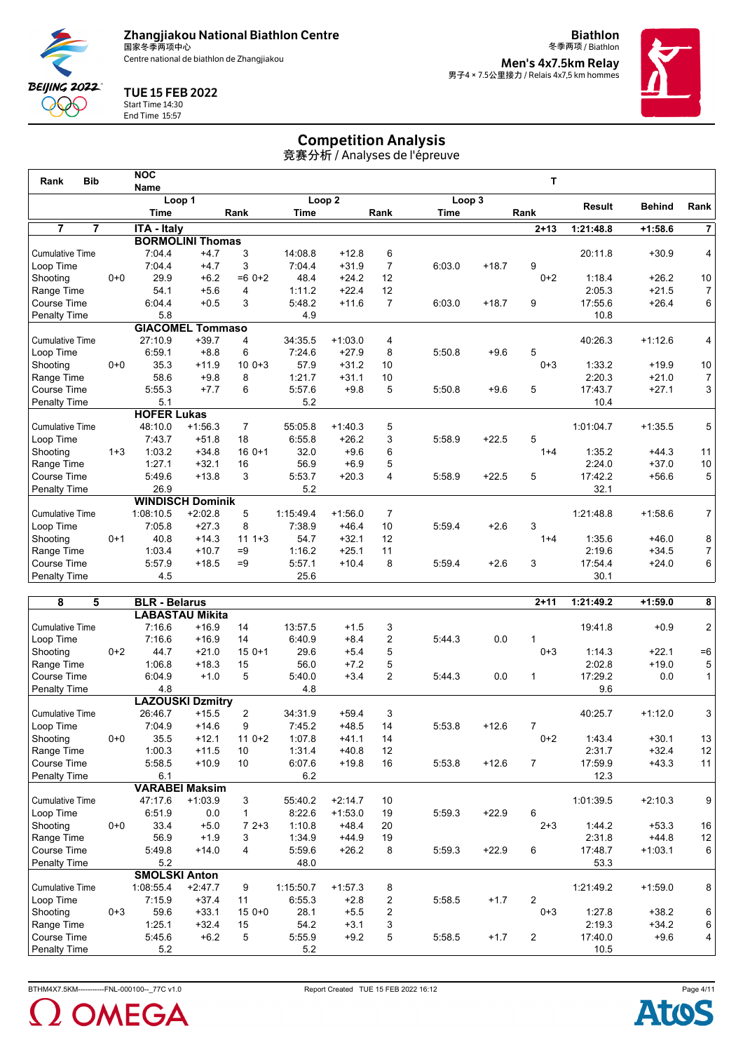

**Biathlon** 冬季两项 / Biathlon **Men's 4x7.5km Relay<br>男子4 × 7.5公里接力 / Relais 4x7,5 km hommes** 



## TUE 15 FEB 2022



Start Time 14:30

End Time 15:57

# Competition Analysis

竞赛分析 / Analyses de l'épreuve

| <b>Bib</b><br>Rank               |         | <b>NOC</b>           |                         |                |             |                   |                |        |         | T        |               |               |                |
|----------------------------------|---------|----------------------|-------------------------|----------------|-------------|-------------------|----------------|--------|---------|----------|---------------|---------------|----------------|
|                                  |         | <b>Name</b>          |                         |                |             |                   |                |        |         |          |               |               |                |
|                                  |         |                      | Loop 1                  |                |             | Loop <sub>2</sub> |                | Loop 3 |         |          | <b>Result</b> | <b>Behind</b> | Rank           |
|                                  |         | Time                 |                         | Rank           | <b>Time</b> |                   | Rank           | Time   |         | Rank     |               |               |                |
| $\overline{7}$<br>$\overline{7}$ |         | <b>ITA - Italy</b>   |                         |                |             |                   |                |        |         | $2 + 13$ | 1:21:48.8     | $+1:58.6$     | $\overline{7}$ |
|                                  |         |                      | <b>BORMOLINI Thomas</b> |                |             |                   |                |        |         |          |               |               |                |
| <b>Cumulative Time</b>           |         | 7:04.4               | $+4.7$                  | 3              | 14:08.8     | $+12.8$           | 6              |        |         |          | 20:11.8       | $+30.9$       | 4              |
| Loop Time                        |         | 7:04.4               | $+4.7$                  | 3              | 7:04.4      | $+31.9$           | $\overline{7}$ | 6:03.0 | $+18.7$ | 9        |               |               |                |
| Shooting                         | $0+0$   | 29.9                 | $+6.2$                  | $=60+2$        | 48.4        | $+24.2$           | 12             |        |         | $0+2$    | 1:18.4        | $+26.2$       | 10             |
| Range Time                       |         | 54.1                 | $+5.6$                  | 4              | 1:11.2      | $+22.4$           | 12             |        |         |          | 2:05.3        | $+21.5$       | $\overline{7}$ |
| Course Time                      |         | 6:04.4               | $+0.5$                  | 3              | 5:48.2      | $+11.6$           | $\overline{7}$ | 6:03.0 | $+18.7$ | 9        | 17:55.6       | $+26.4$       | 6              |
| <b>Penalty Time</b>              |         | 5.8                  |                         |                | 4.9         |                   |                |        |         |          | 10.8          |               |                |
|                                  |         |                      | <b>GIACOMEL Tommaso</b> |                |             |                   |                |        |         |          |               |               |                |
| <b>Cumulative Time</b>           |         | 27:10.9              | $+39.7$                 | 4              | 34:35.5     | $+1:03.0$         | 4              |        |         |          | 40:26.3       | $+1:12.6$     | 4              |
| Loop Time                        |         | 6:59.1               | $+8.8$                  | 6              | 7:24.6      | $+27.9$           | 8              | 5:50.8 | $+9.6$  | 5        |               |               |                |
| Shooting                         | $0+0$   | 35.3                 | $+11.9$                 | $100+3$        | 57.9        | $+31.2$           | 10             |        |         | $0 + 3$  | 1:33.2        | $+19.9$       | $10$           |
| Range Time                       |         | 58.6                 | $+9.8$                  | 8              | 1:21.7      | $+31.1$           | 10             |        |         |          | 2:20.3        | $+21.0$       | 7              |
| Course Time                      |         | 5:55.3               | $+7.7$                  | 6              | 5:57.6      | $+9.8$            | 5              | 5:50.8 | $+9.6$  | 5        | 17:43.7       | $+27.1$       | 3              |
| Penalty Time                     |         | 5.1                  |                         |                | 5.2         |                   |                |        |         |          | 10.4          |               |                |
|                                  |         | <b>HOFER Lukas</b>   |                         |                |             |                   |                |        |         |          |               |               |                |
| <b>Cumulative Time</b>           |         | 48:10.0              | $+1:56.3$               | $\overline{7}$ | 55:05.8     | $+1:40.3$         | 5              |        |         |          | 1:01:04.7     | $+1:35.5$     | 5              |
| Loop Time                        |         | 7:43.7               | $+51.8$                 | 18             | 6:55.8      | $+26.2$           | 3              | 5:58.9 | $+22.5$ | 5        |               |               |                |
| Shooting                         | $1 + 3$ | 1:03.2               | $+34.8$                 | $160+1$        | 32.0        | $+9.6$            | 6              |        |         | $1 + 4$  | 1:35.2        | $+44.3$       | 11             |
| Range Time                       |         | 1:27.1               | $+32.1$                 | 16             | 56.9        | $+6.9$            | 5              |        |         |          | 2:24.0        | $+37.0$       | $10\,$         |
| Course Time                      |         | 5:49.6               | $+13.8$                 | 3              | 5:53.7      | $+20.3$           | 4              | 5:58.9 | $+22.5$ | 5        | 17:42.2       | $+56.6$       | 5              |
| Penalty Time                     |         | 26.9                 |                         |                | 5.2         |                   |                |        |         |          | 32.1          |               |                |
|                                  |         |                      | <b>WINDISCH Dominik</b> |                |             |                   |                |        |         |          |               |               |                |
| <b>Cumulative Time</b>           |         | 1:08:10.5            | $+2:02.8$               | 5              | 1:15:49.4   | $+1:56.0$         | $\overline{7}$ |        |         |          | 1:21:48.8     | $+1:58.6$     | 7              |
| Loop Time                        |         | 7:05.8               | $+27.3$                 | 8              | 7:38.9      | $+46.4$           | 10             | 5:59.4 | $+2.6$  | 3        |               |               |                |
| Shooting                         | $0+1$   | 40.8                 | $+14.3$                 | $111 + 3$      | 54.7        | $+32.1$           | 12             |        |         | $1 + 4$  | 1:35.6        | $+46.0$       | 8              |
| Range Time                       |         | 1:03.4               | $+10.7$                 | $=9$           | 1:16.2      | $+25.1$           | 11             |        |         |          | 2:19.6        | $+34.5$       | $\overline{7}$ |
| Course Time                      |         | 5:57.9               | $+18.5$                 | $=9$           | 5:57.1      | $+10.4$           | 8              | 5:59.4 | $+2.6$  | 3        | 17:54.4       | $+24.0$       | 6              |
| Penalty Time                     |         | 4.5                  |                         |                | 25.6        |                   |                |        |         |          | 30.1          |               |                |
|                                  |         |                      |                         |                |             |                   |                |        |         |          |               |               |                |
| 5<br>8                           |         | <b>BLR - Belarus</b> |                         |                |             |                   |                |        |         | $2 + 11$ | 1:21:49.2     | $+1:59.0$     | 8              |
|                                  |         |                      | <b>LABASTAU Mikita</b>  |                |             |                   |                |        |         |          |               |               |                |

| 8<br>5                 |         | <b>BLR - Belarus</b> |                         |                |           |           |                |        |         | $2 + 11$       | 1:21:49.2 | $+1:59.0$ | 8              |
|------------------------|---------|----------------------|-------------------------|----------------|-----------|-----------|----------------|--------|---------|----------------|-----------|-----------|----------------|
|                        |         |                      | <b>LABASTAU Mikita</b>  |                |           |           |                |        |         |                |           |           |                |
| <b>Cumulative Time</b> |         | 7:16.6               | $+16.9$                 | 14             | 13:57.5   | $+1.5$    | 3              |        |         |                | 19:41.8   | $+0.9$    | $\overline{c}$ |
| Loop Time              |         | 7:16.6               | $+16.9$                 | 14             | 6:40.9    | $+8.4$    | $\overline{2}$ | 5:44.3 | 0.0     |                |           |           |                |
| Shooting               | $0 + 2$ | 44.7                 | $+21.0$                 | $150+1$        | 29.6      | $+5.4$    | 5              |        |         | $0 + 3$        | 1:14.3    | $+22.1$   | $=6$           |
| Range Time             |         | 1:06.8               | $+18.3$                 | 15             | 56.0      | $+7.2$    | 5              |        |         |                | 2:02.8    | $+19.0$   | 5              |
| Course Time            |         | 6:04.9               | $+1.0$                  | 5              | 5:40.0    | $+3.4$    | 2              | 5:44.3 | 0.0     |                | 17:29.2   | 0.0       | $\mathbf{1}$   |
| <b>Penalty Time</b>    |         | 4.8                  |                         |                | 4.8       |           |                |        |         |                | 9.6       |           |                |
|                        |         |                      | <b>LAZOUSKI Dzmitry</b> |                |           |           |                |        |         |                |           |           |                |
| <b>Cumulative Time</b> |         | 26:46.7              | $+15.5$                 | $\overline{2}$ | 34:31.9   | $+59.4$   | 3              |        |         |                | 40:25.7   | $+1:12.0$ | 3              |
| Loop Time              |         | 7:04.9               | $+14.6$                 | 9              | 7:45.2    | $+48.5$   | 14             | 5:53.8 | $+12.6$ |                |           |           |                |
| Shooting               | $0 + 0$ | 35.5                 | $+12.1$                 | $110+2$        | 1:07.8    | $+41.1$   | 14             |        |         | $0+2$          | 1:43.4    | $+30.1$   | 13             |
| Range Time             |         | 1:00.3               | $+11.5$                 | 10             | 1:31.4    | $+40.8$   | 12             |        |         |                | 2:31.7    | $+32.4$   | $12$           |
| Course Time            |         | 5:58.5               | $+10.9$                 | 10             | 6:07.6    | $+19.8$   | 16             | 5:53.8 | $+12.6$ | $\overline{7}$ | 17:59.9   | $+43.3$   | 11             |
| <b>Penalty Time</b>    |         | 6.1                  |                         |                | 6.2       |           |                |        |         |                | 12.3      |           |                |
|                        |         |                      | <b>VARABEI Maksim</b>   |                |           |           |                |        |         |                |           |           |                |
| <b>Cumulative Time</b> |         | 47:17.6              | $+1:03.9$               | 3              | 55:40.2   | $+2:14.7$ | 10             |        |         |                | 1:01:39.5 | $+2:10.3$ | 9              |
| Loop Time              |         | 6:51.9               | 0.0                     |                | 8:22.6    | $+1:53.0$ | 19             | 5:59.3 | $+22.9$ | 6              |           |           |                |
| Shooting               | $0 + 0$ | 33.4                 | $+5.0$                  | $72+3$         | 1:10.8    | $+48.4$   | 20             |        |         | $2 + 3$        | 1:44.2    | $+53.3$   | 16             |
| Range Time             |         | 56.9                 | $+1.9$                  | 3              | 1:34.9    | $+44.9$   | 19             |        |         |                | 2:31.8    | $+44.8$   | $12\,$         |
| Course Time            |         | 5:49.8               | $+14.0$                 | 4              | 5:59.6    | $+26.2$   | 8              | 5:59.3 | $+22.9$ | 6              | 17:48.7   | $+1:03.1$ | 6              |
| <b>Penalty Time</b>    |         | 5.2                  |                         |                | 48.0      |           |                |        |         |                | 53.3      |           |                |
|                        |         | <b>SMOLSKI Anton</b> |                         |                |           |           |                |        |         |                |           |           |                |
| <b>Cumulative Time</b> |         | 1:08:55.4            | $+2:47.7$               | 9              | 1:15:50.7 | $+1:57.3$ | 8              |        |         |                | 1:21:49.2 | $+1:59.0$ | 8              |
| Loop Time              |         | 7:15.9               | $+37.4$                 | 11             | 6:55.3    | $+2.8$    | $\overline{2}$ | 5:58.5 | $+1.7$  | 2              |           |           |                |
| Shooting               | $0 + 3$ | 59.6                 | $+33.1$                 | $150+0$        | 28.1      | $+5.5$    | $\overline{2}$ |        |         | $0 + 3$        | 1:27.8    | $+38.2$   | 6              |
| Range Time             |         | 1:25.1               | $+32.4$                 | 15             | 54.2      | $+3.1$    | 3              |        |         |                | 2:19.3    | $+34.2$   | 6              |
| <b>Course Time</b>     |         | 5:45.6               | $+6.2$                  | 5              | 5:55.9    | $+9.2$    | 5              | 5:58.5 | $+1.7$  | $\overline{2}$ | 17:40.0   | $+9.6$    | 4              |
| <b>Penalty Time</b>    |         | 5.2                  |                         |                | 5.2       |           |                |        |         |                | 10.5      |           |                |



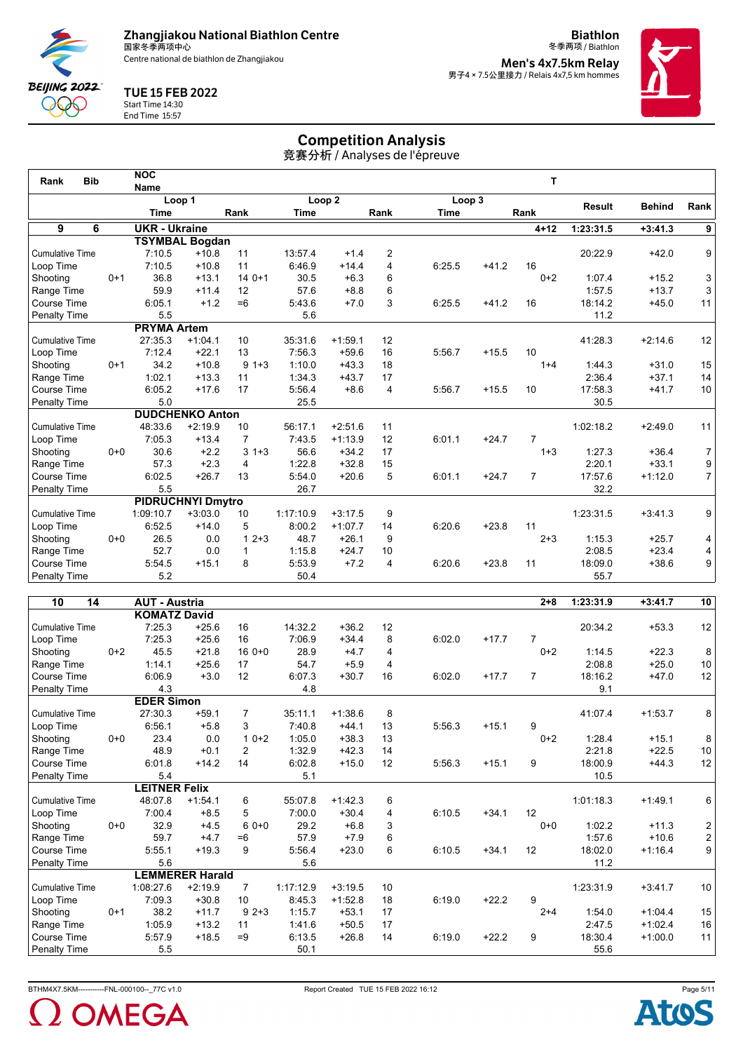Centre national de biathlon de Zhangjiakou

**Biathlon** 冬季两项 / Biathlon **Men's 4x7.5km Relay<br>男子4 × 7.5公里接力 / Relais 4x7,5 km hommes** 



## TUE 15 FEB 2022



Start Time 14:30

End Time 15:57

# Competition Analysis

| <b>Bib</b><br>Rank     |         | <b>NOC</b>           |                          |                         |           |                   |      |        |         | т              |               |               |                |
|------------------------|---------|----------------------|--------------------------|-------------------------|-----------|-------------------|------|--------|---------|----------------|---------------|---------------|----------------|
|                        |         | <b>Name</b>          |                          |                         |           |                   |      |        |         |                |               |               |                |
|                        |         |                      | Loop 1                   |                         |           | Loop <sub>2</sub> |      | Loop 3 |         |                | <b>Result</b> | <b>Behind</b> | Rank           |
|                        |         | Time                 |                          | Rank                    | Time      |                   | Rank | Time   |         | Rank           |               |               |                |
| 9<br>6                 |         | <b>UKR - Ukraine</b> |                          |                         |           |                   |      |        |         | $4 + 12$       | 1:23:31.5     | $+3:41.3$     | 9              |
|                        |         |                      | <b>TSYMBAL Bogdan</b>    |                         |           |                   |      |        |         |                |               |               |                |
| <b>Cumulative Time</b> |         | 7:10.5               | $+10.8$                  | 11                      | 13:57.4   | $+1.4$            | 2    |        |         |                | 20:22.9       | $+42.0$       | 9              |
| Loop Time              |         | 7:10.5               | $+10.8$                  | 11                      | 6:46.9    | $+14.4$           | 4    | 6:25.5 | $+41.2$ | 16             |               |               |                |
| Shooting               | $0 + 1$ | 36.8                 | $+13.1$                  | $140+1$                 | 30.5      | $+6.3$            | 6    |        |         | $0+2$          | 1:07.4        | $+15.2$       | 3              |
| Range Time             |         | 59.9                 | $+11.4$                  | 12                      | 57.6      | $+8.8$            | 6    |        |         |                | 1:57.5        | $+13.7$       | 3              |
| Course Time            |         | 6:05.1               | $+1.2$                   | $=6$                    | 5:43.6    | $+7.0$            | 3    | 6:25.5 | $+41.2$ | 16             | 18:14.2       | $+45.0$       | 11             |
| <b>Penalty Time</b>    |         | 5.5                  |                          |                         | 5.6       |                   |      |        |         |                | 11.2          |               |                |
|                        |         | <b>PRYMA Artem</b>   |                          |                         |           |                   |      |        |         |                |               |               |                |
| <b>Cumulative Time</b> |         | 27:35.3              | $+1:04.1$                | 10                      | 35:31.6   | $+1:59.1$         | 12   |        |         |                | 41:28.3       | $+2:14.6$     | 12             |
| Loop Time              |         | 7:12.4               | $+22.1$                  | 13                      | 7:56.3    | $+59.6$           | 16   | 5:56.7 | $+15.5$ | 10             |               |               |                |
| Shooting               | $0 + 1$ | 34.2                 | $+10.8$                  | $9 + 3$                 | 1:10.0    | $+43.3$           | 18   |        |         | $1 + 4$        | 1:44.3        | $+31.0$       | 15             |
| Range Time             |         | 1:02.1               | $+13.3$                  | 11                      | 1:34.3    | $+43.7$           | 17   |        |         |                | 2:36.4        | $+37.1$       | 14             |
| Course Time            |         | 6:05.2               | $+17.6$                  | 17                      | 5:56.4    | $+8.6$            | 4    | 5:56.7 | $+15.5$ | 10             | 17:58.3       | $+41.7$       | 10             |
| Penalty Time           |         | 5.0                  |                          |                         | 25.5      |                   |      |        |         |                | 30.5          |               |                |
|                        |         |                      | <b>DUDCHENKO Anton</b>   |                         |           |                   |      |        |         |                |               |               |                |
| <b>Cumulative Time</b> |         | 48:33.6              | $+2:19.9$                | 10                      | 56:17.1   | $+2:51.6$         | 11   |        |         |                | 1:02:18.2     | $+2:49.0$     | 11             |
| Loop Time              |         | 7:05.3               | $+13.4$                  | $\overline{7}$          | 7:43.5    | $+1:13.9$         | 12   | 6:01.1 | $+24.7$ | $\overline{7}$ |               |               |                |
| Shooting               | $0 + 0$ | 30.6                 | $+2.2$                   | $3 + 3$                 | 56.6      | $+34.2$           | 17   |        |         | $1 + 3$        | 1:27.3        | $+36.4$       | $\overline{7}$ |
| Range Time             |         | 57.3                 | $+2.3$                   | 4                       | 1:22.8    | $+32.8$           | 15   |        |         |                | 2:20.1        | $+33.1$       | 9              |
| Course Time            |         | 6:02.5               | $+26.7$                  | 13                      | 5:54.0    | $+20.6$           | 5    | 6:01.1 | $+24.7$ | $\overline{7}$ | 17:57.6       | $+1:12.0$     | 7              |
| <b>Penalty Time</b>    |         | 5.5                  |                          |                         | 26.7      |                   |      |        |         |                | 32.2          |               |                |
|                        |         |                      | <b>PIDRUCHNYI Dmytro</b> |                         |           |                   |      |        |         |                |               |               |                |
| <b>Cumulative Time</b> |         | 1:09:10.7            | $+3:03.0$                | 10                      | 1:17:10.9 | $+3:17.5$         | 9    |        |         |                | 1:23:31.5     | $+3:41.3$     | 9              |
| Loop Time              |         | 6:52.5               | $+14.0$                  | 5                       | 8:00.2    | $+1:07.7$         | 14   | 6:20.6 | $+23.8$ | 11             |               |               |                |
| Shooting               | $0 + 0$ | 26.5                 | 0.0                      | $2 + 3$<br>$\mathbf{1}$ | 48.7      | $+26.1$           | 9    |        |         | $2 + 3$        | 1:15.3        | $+25.7$       | 4              |
| Range Time             |         | 52.7                 | 0.0                      | $\mathbf{1}$            | 1:15.8    | $+24.7$           | 10   |        |         |                | 2:08.5        | $+23.4$       | 4              |
| Course Time            |         | 5:54.5               | $+15.1$                  | 8                       | 5:53.9    | $+7.2$            | 4    | 6:20.6 | $+23.8$ | 11             | 18:09.0       | $+38.6$       | 9 <sup>°</sup> |
| <b>Penalty Time</b>    |         | 5.2                  |                          |                         | 50.4      |                   |      |        |         |                | 55.7          |               |                |
|                        |         |                      |                          |                         |           |                   |      |        |         |                |               |               |                |

| 10<br>14               |         | <b>AUT - Austria</b> |                        |                |           |           |    |        |         | $2 + 8$        | 1:23:31.9 | $+3:41.7$ | 10                                    |
|------------------------|---------|----------------------|------------------------|----------------|-----------|-----------|----|--------|---------|----------------|-----------|-----------|---------------------------------------|
|                        |         | <b>KOMATZ David</b>  |                        |                |           |           |    |        |         |                |           |           |                                       |
| <b>Cumulative Time</b> |         | 7:25.3               | $+25.6$                | 16             | 14:32.2   | $+36.2$   | 12 |        |         |                | 20:34.2   | $+53.3$   | 12                                    |
| Loop Time              |         | 7:25.3               | $+25.6$                | 16             | 7:06.9    | $+34.4$   | 8  | 6:02.0 | $+17.7$ |                |           |           |                                       |
| Shooting               | $0+2$   | 45.5                 | $+21.8$                | $160++0$       | 28.9      | $+4.7$    | 4  |        |         | $0+2$          | 1:14.5    | $+22.3$   | $\bf 8$                               |
| Range Time             |         | 1:14.1               | $+25.6$                | 17             | 54.7      | $+5.9$    | 4  |        |         |                | 2:08.8    | $+25.0$   | $10$                                  |
| Course Time            |         | 6:06.9               | $+3.0$                 | 12             | 6:07.3    | $+30.7$   | 16 | 6:02.0 | $+17.7$ | $\overline{7}$ | 18:16.2   | $+47.0$   | 12                                    |
| Penalty Time           |         | 4.3                  |                        |                | 4.8       |           |    |        |         |                | 9.1       |           |                                       |
|                        |         | <b>EDER Simon</b>    |                        |                |           |           |    |        |         |                |           |           |                                       |
| <b>Cumulative Time</b> |         | 27:30.3              | $+59.1$                | $\overline{7}$ | 35:11.1   | $+1:38.6$ | 8  |        |         |                | 41:07.4   | $+1:53.7$ | 8                                     |
| Loop Time              |         | 6:56.1               | $+5.8$                 | 3              | 7:40.8    | $+44.1$   | 13 | 5:56.3 | $+15.1$ | 9              |           |           |                                       |
| Shooting               | $0 + 0$ | 23.4                 | 0.0                    | $10+2$         | 1:05.0    | $+38.3$   | 13 |        |         | $0+2$          | 1:28.4    | $+15.1$   | 8                                     |
| Range Time             |         | 48.9                 | $+0.1$                 | 2              | 1:32.9    | $+42.3$   | 14 |        |         |                | 2:21.8    | $+22.5$   | $10$                                  |
| Course Time            |         | 6:01.8               | $+14.2$                | 14             | 6:02.8    | $+15.0$   | 12 | 5:56.3 | $+15.1$ | 9              | 18:00.9   | $+44.3$   | 12                                    |
| <b>Penalty Time</b>    |         | 5.4                  |                        |                | 5.1       |           |    |        |         |                | 10.5      |           |                                       |
|                        |         | <b>LEITNER Felix</b> |                        |                |           |           |    |        |         |                |           |           |                                       |
| <b>Cumulative Time</b> |         | 48:07.8              | $+1:54.1$              | 6              | 55:07.8   | $+1:42.3$ | 6  |        |         |                | 1:01:18.3 | $+1:49.1$ | 6                                     |
| Loop Time              |         | 7:00.4               | $+8.5$                 | 5              | 7:00.0    | $+30.4$   | 4  | 6:10.5 | $+34.1$ | 12             |           |           |                                       |
| Shooting               | $0 + 0$ | 32.9                 | $+4.5$                 | $60+0$         | 29.2      | $+6.8$    | 3  |        |         | $0 + 0$        | 1:02.2    | $+11.3$   | $\begin{array}{c} 2 \\ 2 \end{array}$ |
| Range Time             |         | 59.7                 | $+4.7$                 | $=6$           | 57.9      | $+7.9$    | 6  |        |         |                | 1:57.6    | $+10.6$   |                                       |
| Course Time            |         | 5:55.1               | $+19.3$                | 9              | 5:56.4    | $+23.0$   | 6  | 6:10.5 | $+34.1$ | 12             | 18:02.0   | $+1:16.4$ | $\boldsymbol{9}$                      |
| <b>Penalty Time</b>    |         | 5.6                  |                        |                | 5.6       |           |    |        |         |                | 11.2      |           |                                       |
|                        |         |                      | <b>LEMMERER Harald</b> |                |           |           |    |        |         |                |           |           |                                       |
| <b>Cumulative Time</b> |         | 1:08:27.6            | $+2:19.9$              | $\overline{7}$ | 1:17:12.9 | $+3:19.5$ | 10 |        |         |                | 1:23:31.9 | $+3:41.7$ | 10                                    |
| Loop Time              |         | 7:09.3               | $+30.8$                | 10             | 8:45.3    | $+1:52.8$ | 18 | 6:19.0 | $+22.2$ | 9              |           |           |                                       |
| Shooting               | $0+1$   | 38.2                 | $+11.7$                | $92+3$         | 1:15.7    | $+53.1$   | 17 |        |         | $2 + 4$        | 1:54.0    | $+1:04.4$ | 15                                    |
| Range Time             |         | 1:05.9               | $+13.2$                | 11             | 1:41.6    | $+50.5$   | 17 |        |         |                | 2:47.5    | $+1:02.4$ | $16\,$                                |
| Course Time            |         | 5:57.9               | $+18.5$                | $=9$           | 6:13.5    | $+26.8$   | 14 | 6:19.0 | $+22.2$ | 9              | 18:30.4   | $+1:00.0$ | 11                                    |
| <b>Penalty Time</b>    |         | 5.5                  |                        |                | 50.1      |           |    |        |         |                | 55.6      |           |                                       |



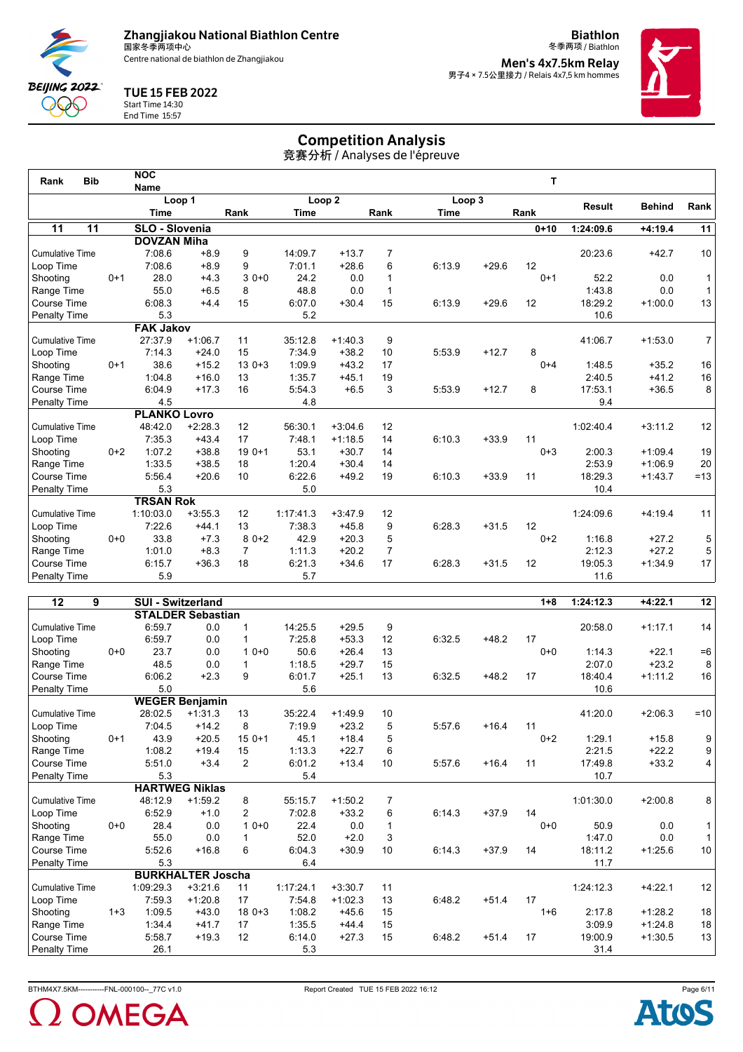Centre national de biathlon de Zhangjiakou

**Biathlon** 冬季两项 / Biathlon **Men's 4x7.5km Relay<br>男子4 × 7.5公里接力 / Relais 4x7,5 km hommes** 



## TUE 15 FEB 2022

**BEIJING 2022** QQQ End Time 15:57

# Start Time 14:30

Competition Analysis

|                        |                 |                           |           |                |             |                   |                | Competition Analysis<br>竞赛分析 / Analyses de l'épreuve |         |              |               |               |                 |
|------------------------|-----------------|---------------------------|-----------|----------------|-------------|-------------------|----------------|------------------------------------------------------|---------|--------------|---------------|---------------|-----------------|
| <b>Bib</b><br>Rank     |                 | <b>NOC</b><br><b>Name</b> |           |                |             |                   |                |                                                      |         | $\mathbf{T}$ |               |               |                 |
|                        |                 |                           | Loop 1    |                |             | Loop <sub>2</sub> |                | Loop 3                                               |         |              |               |               |                 |
|                        |                 | <b>Time</b>               |           | Rank           | <b>Time</b> |                   | Rank           | <b>Time</b>                                          |         | Rank         | <b>Result</b> | <b>Behind</b> | Rank            |
| $\overline{11}$        | $\overline{11}$ | SLO - Slovenia            |           |                |             |                   |                |                                                      |         | $0 + 10$     | 1:24:09.6     | $+4:19.4$     | $\overline{11}$ |
|                        |                 | <b>DOVZAN Miha</b>        |           |                |             |                   |                |                                                      |         |              |               |               |                 |
| <b>Cumulative Time</b> |                 | 7:08.6                    | $+8.9$    | 9              | 14:09.7     | $+13.7$           | $\overline{7}$ |                                                      |         |              | 20:23.6       | $+42.7$       | 10              |
| Loop Time              |                 | 7:08.6                    | $+8.9$    | 9              | 7:01.1      | $+28.6$           | 6              | 6:13.9                                               | $+29.6$ | 12           |               |               |                 |
| Shooting               | $0 + 1$         | 28.0                      | $+4.3$    | $30+0$         | 24.2        | 0.0               | $\mathbf{1}$   |                                                      |         | $0+1$        | 52.2          | 0.0           | 1               |
| Range Time             |                 | 55.0                      | $+6.5$    | 8              | 48.8        | 0.0               | $\mathbf{1}$   |                                                      |         |              | 1:43.8        | 0.0           | $\mathbf{1}$    |
| Course Time            |                 | 6:08.3                    | $+4.4$    | 15             | 6:07.0      | $+30.4$           | 15             | 6:13.9                                               | $+29.6$ | 12           | 18:29.2       | $+1:00.0$     | 13              |
| Penalty Time           |                 | 5.3                       |           |                | 5.2         |                   |                |                                                      |         |              | 10.6          |               |                 |
|                        |                 | <b>FAK Jakov</b>          |           |                |             |                   |                |                                                      |         |              |               |               |                 |
| <b>Cumulative Time</b> |                 | 27:37.9                   | $+1:06.7$ | 11             | 35:12.8     | $+1:40.3$         | 9              |                                                      |         |              | 41:06.7       | $+1:53.0$     | $\overline{7}$  |
| Loop Time              |                 | 7:14.3                    | $+24.0$   | 15             | 7:34.9      | $+38.2$           | 10             | 5:53.9                                               | $+12.7$ | 8            |               |               |                 |
| Shooting               | $0 + 1$         | 38.6                      | $+15.2$   | $130+3$        | 1:09.9      | $+43.2$           | 17             |                                                      |         | $0 + 4$      | 1:48.5        | $+35.2$       | 16              |
| Range Time             |                 | 1:04.8                    | $+16.0$   | 13             | 1:35.7      | $+45.1$           | 19             |                                                      |         |              | 2:40.5        | $+41.2$       | 16              |
| <b>Course Time</b>     |                 | 6:04.9                    | $+17.3$   | 16             | 5:54.3      | $+6.5$            | 3              | 5:53.9                                               | $+12.7$ | 8            | 17:53.1       | $+36.5$       | 8               |
| Penalty Time           |                 | 4.5                       |           |                | 4.8         |                   |                |                                                      |         |              | 9.4           |               |                 |
|                        |                 | <b>PLANKO Lovro</b>       |           |                |             |                   |                |                                                      |         |              |               |               |                 |
| <b>Cumulative Time</b> |                 | 48:42.0                   | $+2:28.3$ | 12             | 56:30.1     | $+3:04.6$         | 12             |                                                      |         |              | 1:02:40.4     | $+3:11.2$     | 12              |
| Loop Time              |                 | 7:35.3                    | $+43.4$   | 17             | 7:48.1      | $+1:18.5$         | 14             | 6:10.3                                               | $+33.9$ | 11           |               |               |                 |
| Shooting               | $0+2$           | 1:07.2                    | $+38.8$   | $190+1$        | 53.1        | $+30.7$           | 14             |                                                      |         | $0 + 3$      | 2:00.3        | $+1:09.4$     | 19              |
| Range Time             |                 | 1:33.5                    | $+38.5$   | 18             | 1:20.4      | $+30.4$           | 14             |                                                      |         |              | 2:53.9        | $+1:06.9$     | 20              |
| <b>Course Time</b>     |                 | 5:56.4                    | $+20.6$   | 10             | 6:22.6      | $+49.2$           | 19             | 6:10.3                                               | $+33.9$ | 11           | 18:29.3       | $+1:43.7$     | $=13$           |
| Penalty Time           |                 | 5.3                       |           |                | 5.0         |                   |                |                                                      |         |              | 10.4          |               |                 |
|                        |                 | <b>TRSAN Rok</b>          |           |                |             |                   |                |                                                      |         |              |               |               |                 |
| <b>Cumulative Time</b> |                 | 1:10:03.0                 | $+3:55.3$ | 12             | 1:17:41.3   | $+3:47.9$         | 12             |                                                      |         |              | 1:24:09.6     | $+4:19.4$     | 11              |
| Loop Time              |                 | 7:22.6                    | $+44.1$   | 13             | 7:38.3      | $+45.8$           | 9              | 6:28.3                                               | $+31.5$ | 12           |               |               |                 |
| Shooting               | $0 + 0$         | 33.8                      | $+7.3$    | $80+2$         | 42.9        | $+20.3$           | 5              |                                                      |         | $0 + 2$      | 1:16.8        | $+27.2$       | 5               |
| Range Time             |                 | 1:01.0                    | $+8.3$    | $\overline{7}$ | 1:11.3      | $+20.2$           | $\overline{7}$ |                                                      |         |              | 2:12.3        | $+27.2$       | 5               |
| <b>Course Time</b>     |                 | 6:15.7                    | $+36.3$   | 18             | 6:21.3      | $+34.6$           | 17             | 6:28.3                                               | $+31.5$ | 12           | 19:05.3       | $+1:34.9$     | 17              |
| <b>Penalty Time</b>    |                 | 5.9                       |           |                | 5.7         |                   |                |                                                      |         |              | 11.6          |               |                 |
|                        |                 |                           |           |                |             |                   |                |                                                      |         |              |               |               |                 |

| 12<br>9                |         | <b>SUI - Switzerland</b> |                          |                |           |           |                |        |         | $1 + 8$ | 1:24:12.3 | $+4:22.1$ | 12    |
|------------------------|---------|--------------------------|--------------------------|----------------|-----------|-----------|----------------|--------|---------|---------|-----------|-----------|-------|
|                        |         |                          | <b>STALDER Sebastian</b> |                |           |           |                |        |         |         |           |           |       |
| <b>Cumulative Time</b> |         | 6:59.7                   | 0.0                      | 1              | 14:25.5   | $+29.5$   | 9              |        |         |         | 20:58.0   | $+1:17.1$ | 14    |
| Loop Time              |         | 6:59.7                   | 0.0                      |                | 7:25.8    | $+53.3$   | 12             | 6:32.5 | $+48.2$ | 17      |           |           |       |
| Shooting               | $0+0$   | 23.7                     | 0.0                      | $10+0$         | 50.6      | $+26.4$   | 13             |        |         | $0 + 0$ | 1:14.3    | $+22.1$   | $=6$  |
| Range Time             |         | 48.5                     | 0.0                      | 1              | 1:18.5    | $+29.7$   | 15             |        |         |         | 2:07.0    | $+23.2$   | 8     |
| Course Time            |         | 6:06.2                   | $+2.3$                   | 9              | 6:01.7    | $+25.1$   | 13             | 6:32.5 | $+48.2$ | 17      | 18:40.4   | $+1:11.2$ | 16    |
| Penalty Time           |         | 5.0                      |                          |                | 5.6       |           |                |        |         |         | 10.6      |           |       |
|                        |         |                          | <b>WEGER Benjamin</b>    |                |           |           |                |        |         |         |           |           |       |
| <b>Cumulative Time</b> |         | 28:02.5                  | $+1:31.3$                | 13             | 35:22.4   | $+1:49.9$ | 10             |        |         |         | 41:20.0   | $+2:06.3$ | $=10$ |
| Loop Time              |         | 7:04.5                   | $+14.2$                  | 8              | 7:19.9    | $+23.2$   | 5              | 5:57.6 | $+16.4$ | 11      |           |           |       |
| Shooting               | $0 + 1$ | 43.9                     | $+20.5$                  | $150+1$        | 45.1      | $+18.4$   | 5              |        |         | $0+2$   | 1:29.1    | $+15.8$   | 9     |
| Range Time             |         | 1:08.2                   | $+19.4$                  | 15             | 1:13.3    | $+22.7$   | 6              |        |         |         | 2:21.5    | $+22.2$   | 9     |
| Course Time            |         | 5:51.0                   | $+3.4$                   | $\overline{2}$ | 6:01.2    | $+13.4$   | 10             | 5:57.6 | $+16.4$ | 11      | 17:49.8   | $+33.2$   | 4     |
| <b>Penalty Time</b>    |         | 5.3                      |                          |                | 5.4       |           |                |        |         |         | 10.7      |           |       |
|                        |         |                          | <b>HARTWEG Niklas</b>    |                |           |           |                |        |         |         |           |           |       |
| <b>Cumulative Time</b> |         | 48:12.9                  | $+1:59.2$                | 8              | 55:15.7   | $+1:50.2$ | $\overline{7}$ |        |         |         | 1:01:30.0 | $+2:00.8$ | 8     |
| Loop Time              |         | 6:52.9                   | $+1.0$                   | $\overline{2}$ | 7:02.8    | $+33.2$   | 6              | 6:14.3 | $+37.9$ | 14      |           |           |       |
| Shooting               | $0 + 0$ | 28.4                     | 0.0                      | $10+0$         | 22.4      | 0.0       |                |        |         | $0 + 0$ | 50.9      | 0.0       |       |
| Range Time             |         | 55.0                     | 0.0                      | 1              | 52.0      | $+2.0$    | 3              |        |         |         | 1:47.0    | 0.0       |       |
| Course Time            |         | 5:52.6                   | $+16.8$                  | 6              | 6:04.3    | $+30.9$   | 10             | 6:14.3 | $+37.9$ | 14      | 18:11.2   | $+1:25.6$ | 10    |
| Penalty Time           |         | 5.3                      |                          |                | 6.4       |           |                |        |         |         | 11.7      |           |       |
|                        |         |                          | <b>BURKHALTER Joscha</b> |                |           |           |                |        |         |         |           |           |       |
| <b>Cumulative Time</b> |         | 1:09:29.3                | $+3:21.6$                | 11             | 1:17:24.1 | $+3:30.7$ | 11             |        |         |         | 1:24:12.3 | $+4:22.1$ | 12    |
| Loop Time              |         | 7:59.3                   | $+1:20.8$                | 17             | 7:54.8    | $+1:02.3$ | 13             | 6:48.2 | $+51.4$ | 17      |           |           |       |
| Shooting               | $1 + 3$ | 1:09.5                   | $+43.0$                  | $180+3$        | 1:08.2    | $+45.6$   | 15             |        |         | $1 + 6$ | 2:17.8    | $+1:28.2$ | 18    |
| Range Time             |         | 1:34.4                   | $+41.7$                  | 17             | 1:35.5    | $+44.4$   | 15             |        |         |         | 3:09.9    | $+1:24.8$ | 18    |
| Course Time            |         | 5:58.7                   | $+19.3$                  | 12             | 6:14.0    | $+27.3$   | 15             | 6:48.2 | $+51.4$ | 17      | 19:00.9   | $+1:30.5$ | 13    |
| <b>Penalty Time</b>    |         | 26.1                     |                          |                | 5.3       |           |                |        |         |         | 31.4      |           |       |



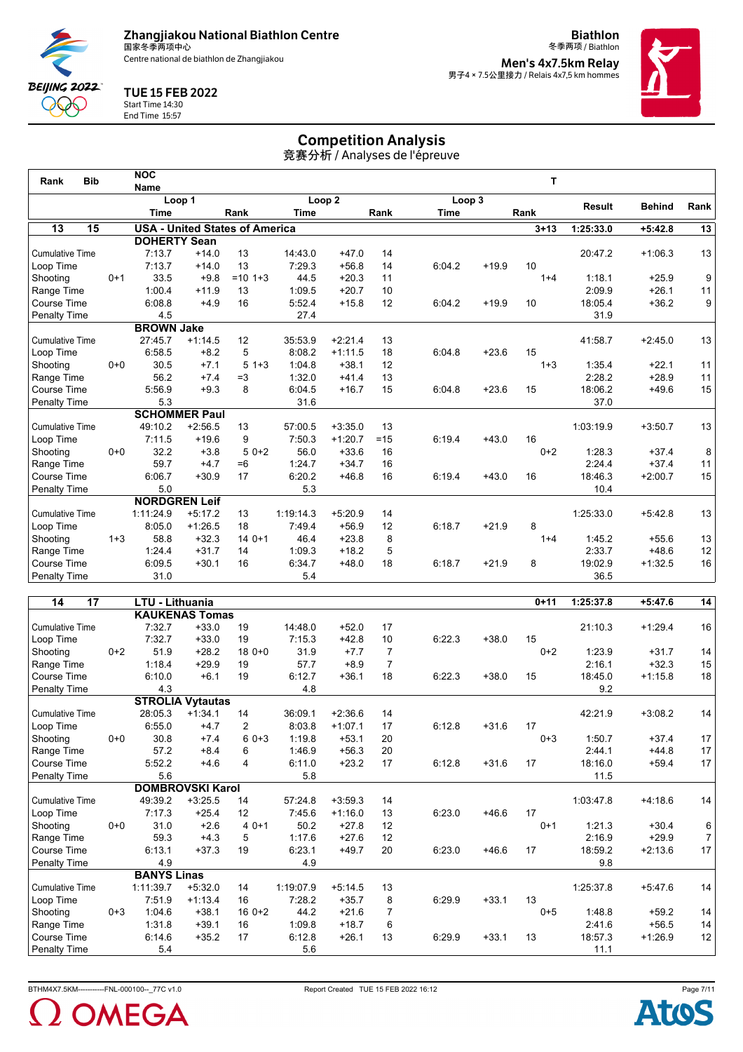Centre national de biathlon de Zhangjiakou

**Biathlon** 冬季两项 / Biathlon **Men's 4x7.5km Relay<br>男子4 × 7.5公里接力 / Relais 4x7,5 km hommes** 



## TUE 15 FEB 2022



Start Time 14:30 End Time 15:57

# Competition Analysis

竞赛分析 / Analyses de l'épreuve

| Loop <sub>2</sub><br>Loop 1<br>Loop 3<br>Result<br><b>Behind</b><br><b>Time</b><br>Rank<br>Rank<br>Rank<br><b>Time</b><br><b>Time</b><br>$\overline{15}$<br>13<br><b>USA - United States of America</b><br>1:25:33.0<br>$3 + 13$<br>$+5:42.8$<br><b>DOHERTY Sean</b><br><b>Cumulative Time</b><br>7:13.7<br>$+14.0$<br>13<br>14:43.0<br>$+47.0$<br>20:47.2<br>$+1:06.3$<br>14<br>10<br>7:13.7<br>13<br>7:29.3<br>$+56.8$<br>6:04.2<br>$+19.9$<br>$+14.0$<br>14<br>Loop Time<br>33.5<br>$= 10$ 1+3<br>1:18.1<br>$0+1$<br>$+9.8$<br>44.5<br>$+20.3$<br>11<br>Shooting<br>$1 + 4$<br>$+25.9$<br>1:00.4<br>1:09.5<br>$+20.7$<br>2:09.9<br>$+26.1$<br>$+11.9$<br>13<br>10<br>Range Time<br>6:08.8<br>$+4.9$<br>16<br>5:52.4<br>$+15.8$<br>12<br>18:05.4<br>$+36.2$<br>Course Time<br>6:04.2<br>$+19.9$<br>10<br>27.4<br><b>Penalty Time</b><br>4.5<br>31.9<br><b>BROWN Jake</b><br>27:45.7<br>12<br>35:53.9<br>$+2:21.4$<br>13<br>41:58.7<br>$+2:45.0$<br><b>Cumulative Time</b><br>$+1:14.5$<br>5<br>6:58.5<br>$+8.2$<br>8:08.2<br>$+1:11.5$<br>6:04.8<br>$+23.6$<br>15<br>18<br>Loop Time<br>$0 + 0$<br>30.5<br>5<br>1:04.8<br>$+38.1$<br>12<br>1:35.4<br>Shootina<br>$+7.1$<br>$1 + 3$<br>$1 + 3$<br>$+22.1$<br>56.2<br>$=3$<br>1:32.0<br>$+41.4$<br>2:28.2<br>$+7.4$<br>13<br>$+28.9$<br>Range Time<br>5:56.9<br>$+9.3$<br>8<br>6:04.5<br>15<br>18:06.2<br>Course Time<br>$+16.7$<br>15<br>6:04.8<br>$+23.6$<br>$+49.6$<br>5.3<br>31.6<br>37.0<br>Penalty Time<br><b>SCHOMMER Paul</b><br><b>Cumulative Time</b><br>49:10.2<br>57:00.5<br>$+2:56.5$<br>13<br>$+3:35.0$<br>13<br>1:03:19.9<br>$+3:50.7$<br>$+43.0$<br>16<br>7:11.5<br>$+19.6$<br>9<br>7:50.3<br>$+1:20.7$<br>6:19.4<br>Loop Time<br>$=15$<br>$0+0$<br>32.2<br>$50+2$<br>56.0<br>1:28.3<br>$+3.8$<br>$+33.6$<br>$0 + 2$<br>$+37.4$<br>Shooting<br>16<br>2:24.4<br>59.7<br>$+4.7$<br>$=6$<br>1:24.7<br>$+34.7$<br>$+37.4$<br>Range Time<br>16<br>6:06.7<br>$+30.9$<br>17<br>6:20.2<br>$+46.8$<br>16<br>6:19.4<br>18:46.3<br>$+2:00.7$<br>Course Time<br>$+43.0$<br>16<br>5.0<br>5.3<br>10.4<br>Penalty Time<br><b>NORDGREN Leif</b><br><b>Cumulative Time</b><br>1:11:24.9<br>$+5:17.2$<br>13<br>1:19:14.3<br>$+5:20.9$<br>1:25:33.0<br>$+5:42.8$<br>14<br>8:05.0<br>7:49.4<br>$+56.9$<br>6:18.7<br>$+21.9$<br>8<br>Loop Time<br>$+1:26.5$<br>18<br>12<br>$1 + 3$<br>58.8<br>$140+1$<br>46.4<br>$+23.8$<br>8<br>1:45.2<br>$+32.3$<br>Shooting<br>$1 + 4$<br>$+55.6$<br>$+18.2$<br>5<br>2:33.7<br>$+48.6$<br>1:24.4<br>$+31.7$<br>14<br>1:09.3<br>Range Time | <b>Bib</b><br>Rank | <b>NOC</b>  |         |    |        |         |    |        |         | т |         |           |                 |
|-------------------------------------------------------------------------------------------------------------------------------------------------------------------------------------------------------------------------------------------------------------------------------------------------------------------------------------------------------------------------------------------------------------------------------------------------------------------------------------------------------------------------------------------------------------------------------------------------------------------------------------------------------------------------------------------------------------------------------------------------------------------------------------------------------------------------------------------------------------------------------------------------------------------------------------------------------------------------------------------------------------------------------------------------------------------------------------------------------------------------------------------------------------------------------------------------------------------------------------------------------------------------------------------------------------------------------------------------------------------------------------------------------------------------------------------------------------------------------------------------------------------------------------------------------------------------------------------------------------------------------------------------------------------------------------------------------------------------------------------------------------------------------------------------------------------------------------------------------------------------------------------------------------------------------------------------------------------------------------------------------------------------------------------------------------------------------------------------------------------------------------------------------------------------------------------------------------------------------------------------------------------------------------------------------------------------------------------------------------------------------------------------------------------------------------------------------------------------------------------------------------------------|--------------------|-------------|---------|----|--------|---------|----|--------|---------|---|---------|-----------|-----------------|
|                                                                                                                                                                                                                                                                                                                                                                                                                                                                                                                                                                                                                                                                                                                                                                                                                                                                                                                                                                                                                                                                                                                                                                                                                                                                                                                                                                                                                                                                                                                                                                                                                                                                                                                                                                                                                                                                                                                                                                                                                                                                                                                                                                                                                                                                                                                                                                                                                                                                                                                         |                    | <b>Name</b> |         |    |        |         |    |        |         |   |         |           |                 |
|                                                                                                                                                                                                                                                                                                                                                                                                                                                                                                                                                                                                                                                                                                                                                                                                                                                                                                                                                                                                                                                                                                                                                                                                                                                                                                                                                                                                                                                                                                                                                                                                                                                                                                                                                                                                                                                                                                                                                                                                                                                                                                                                                                                                                                                                                                                                                                                                                                                                                                                         |                    |             |         |    |        |         |    |        |         |   |         |           | Rank            |
|                                                                                                                                                                                                                                                                                                                                                                                                                                                                                                                                                                                                                                                                                                                                                                                                                                                                                                                                                                                                                                                                                                                                                                                                                                                                                                                                                                                                                                                                                                                                                                                                                                                                                                                                                                                                                                                                                                                                                                                                                                                                                                                                                                                                                                                                                                                                                                                                                                                                                                                         |                    |             |         |    |        |         |    |        |         |   |         |           |                 |
|                                                                                                                                                                                                                                                                                                                                                                                                                                                                                                                                                                                                                                                                                                                                                                                                                                                                                                                                                                                                                                                                                                                                                                                                                                                                                                                                                                                                                                                                                                                                                                                                                                                                                                                                                                                                                                                                                                                                                                                                                                                                                                                                                                                                                                                                                                                                                                                                                                                                                                                         |                    |             |         |    |        |         |    |        |         |   |         |           | $\overline{13}$ |
|                                                                                                                                                                                                                                                                                                                                                                                                                                                                                                                                                                                                                                                                                                                                                                                                                                                                                                                                                                                                                                                                                                                                                                                                                                                                                                                                                                                                                                                                                                                                                                                                                                                                                                                                                                                                                                                                                                                                                                                                                                                                                                                                                                                                                                                                                                                                                                                                                                                                                                                         |                    |             |         |    |        |         |    |        |         |   |         |           | 13              |
|                                                                                                                                                                                                                                                                                                                                                                                                                                                                                                                                                                                                                                                                                                                                                                                                                                                                                                                                                                                                                                                                                                                                                                                                                                                                                                                                                                                                                                                                                                                                                                                                                                                                                                                                                                                                                                                                                                                                                                                                                                                                                                                                                                                                                                                                                                                                                                                                                                                                                                                         |                    |             |         |    |        |         |    |        |         |   |         |           |                 |
|                                                                                                                                                                                                                                                                                                                                                                                                                                                                                                                                                                                                                                                                                                                                                                                                                                                                                                                                                                                                                                                                                                                                                                                                                                                                                                                                                                                                                                                                                                                                                                                                                                                                                                                                                                                                                                                                                                                                                                                                                                                                                                                                                                                                                                                                                                                                                                                                                                                                                                                         |                    |             |         |    |        |         |    |        |         |   |         |           | 9               |
|                                                                                                                                                                                                                                                                                                                                                                                                                                                                                                                                                                                                                                                                                                                                                                                                                                                                                                                                                                                                                                                                                                                                                                                                                                                                                                                                                                                                                                                                                                                                                                                                                                                                                                                                                                                                                                                                                                                                                                                                                                                                                                                                                                                                                                                                                                                                                                                                                                                                                                                         |                    |             |         |    |        |         |    |        |         |   |         |           | 11              |
|                                                                                                                                                                                                                                                                                                                                                                                                                                                                                                                                                                                                                                                                                                                                                                                                                                                                                                                                                                                                                                                                                                                                                                                                                                                                                                                                                                                                                                                                                                                                                                                                                                                                                                                                                                                                                                                                                                                                                                                                                                                                                                                                                                                                                                                                                                                                                                                                                                                                                                                         |                    |             |         |    |        |         |    |        |         |   |         |           | 9               |
|                                                                                                                                                                                                                                                                                                                                                                                                                                                                                                                                                                                                                                                                                                                                                                                                                                                                                                                                                                                                                                                                                                                                                                                                                                                                                                                                                                                                                                                                                                                                                                                                                                                                                                                                                                                                                                                                                                                                                                                                                                                                                                                                                                                                                                                                                                                                                                                                                                                                                                                         |                    |             |         |    |        |         |    |        |         |   |         |           |                 |
|                                                                                                                                                                                                                                                                                                                                                                                                                                                                                                                                                                                                                                                                                                                                                                                                                                                                                                                                                                                                                                                                                                                                                                                                                                                                                                                                                                                                                                                                                                                                                                                                                                                                                                                                                                                                                                                                                                                                                                                                                                                                                                                                                                                                                                                                                                                                                                                                                                                                                                                         |                    |             |         |    |        |         |    |        |         |   |         |           |                 |
|                                                                                                                                                                                                                                                                                                                                                                                                                                                                                                                                                                                                                                                                                                                                                                                                                                                                                                                                                                                                                                                                                                                                                                                                                                                                                                                                                                                                                                                                                                                                                                                                                                                                                                                                                                                                                                                                                                                                                                                                                                                                                                                                                                                                                                                                                                                                                                                                                                                                                                                         |                    |             |         |    |        |         |    |        |         |   |         |           | 13              |
|                                                                                                                                                                                                                                                                                                                                                                                                                                                                                                                                                                                                                                                                                                                                                                                                                                                                                                                                                                                                                                                                                                                                                                                                                                                                                                                                                                                                                                                                                                                                                                                                                                                                                                                                                                                                                                                                                                                                                                                                                                                                                                                                                                                                                                                                                                                                                                                                                                                                                                                         |                    |             |         |    |        |         |    |        |         |   |         |           |                 |
|                                                                                                                                                                                                                                                                                                                                                                                                                                                                                                                                                                                                                                                                                                                                                                                                                                                                                                                                                                                                                                                                                                                                                                                                                                                                                                                                                                                                                                                                                                                                                                                                                                                                                                                                                                                                                                                                                                                                                                                                                                                                                                                                                                                                                                                                                                                                                                                                                                                                                                                         |                    |             |         |    |        |         |    |        |         |   |         |           | 11              |
|                                                                                                                                                                                                                                                                                                                                                                                                                                                                                                                                                                                                                                                                                                                                                                                                                                                                                                                                                                                                                                                                                                                                                                                                                                                                                                                                                                                                                                                                                                                                                                                                                                                                                                                                                                                                                                                                                                                                                                                                                                                                                                                                                                                                                                                                                                                                                                                                                                                                                                                         |                    |             |         |    |        |         |    |        |         |   |         |           | 11              |
|                                                                                                                                                                                                                                                                                                                                                                                                                                                                                                                                                                                                                                                                                                                                                                                                                                                                                                                                                                                                                                                                                                                                                                                                                                                                                                                                                                                                                                                                                                                                                                                                                                                                                                                                                                                                                                                                                                                                                                                                                                                                                                                                                                                                                                                                                                                                                                                                                                                                                                                         |                    |             |         |    |        |         |    |        |         |   |         |           | 15              |
|                                                                                                                                                                                                                                                                                                                                                                                                                                                                                                                                                                                                                                                                                                                                                                                                                                                                                                                                                                                                                                                                                                                                                                                                                                                                                                                                                                                                                                                                                                                                                                                                                                                                                                                                                                                                                                                                                                                                                                                                                                                                                                                                                                                                                                                                                                                                                                                                                                                                                                                         |                    |             |         |    |        |         |    |        |         |   |         |           |                 |
|                                                                                                                                                                                                                                                                                                                                                                                                                                                                                                                                                                                                                                                                                                                                                                                                                                                                                                                                                                                                                                                                                                                                                                                                                                                                                                                                                                                                                                                                                                                                                                                                                                                                                                                                                                                                                                                                                                                                                                                                                                                                                                                                                                                                                                                                                                                                                                                                                                                                                                                         |                    |             |         |    |        |         |    |        |         |   |         |           |                 |
|                                                                                                                                                                                                                                                                                                                                                                                                                                                                                                                                                                                                                                                                                                                                                                                                                                                                                                                                                                                                                                                                                                                                                                                                                                                                                                                                                                                                                                                                                                                                                                                                                                                                                                                                                                                                                                                                                                                                                                                                                                                                                                                                                                                                                                                                                                                                                                                                                                                                                                                         |                    |             |         |    |        |         |    |        |         |   |         |           | 13              |
|                                                                                                                                                                                                                                                                                                                                                                                                                                                                                                                                                                                                                                                                                                                                                                                                                                                                                                                                                                                                                                                                                                                                                                                                                                                                                                                                                                                                                                                                                                                                                                                                                                                                                                                                                                                                                                                                                                                                                                                                                                                                                                                                                                                                                                                                                                                                                                                                                                                                                                                         |                    |             |         |    |        |         |    |        |         |   |         |           |                 |
|                                                                                                                                                                                                                                                                                                                                                                                                                                                                                                                                                                                                                                                                                                                                                                                                                                                                                                                                                                                                                                                                                                                                                                                                                                                                                                                                                                                                                                                                                                                                                                                                                                                                                                                                                                                                                                                                                                                                                                                                                                                                                                                                                                                                                                                                                                                                                                                                                                                                                                                         |                    |             |         |    |        |         |    |        |         |   |         |           | 8               |
|                                                                                                                                                                                                                                                                                                                                                                                                                                                                                                                                                                                                                                                                                                                                                                                                                                                                                                                                                                                                                                                                                                                                                                                                                                                                                                                                                                                                                                                                                                                                                                                                                                                                                                                                                                                                                                                                                                                                                                                                                                                                                                                                                                                                                                                                                                                                                                                                                                                                                                                         |                    |             |         |    |        |         |    |        |         |   |         |           | 11              |
|                                                                                                                                                                                                                                                                                                                                                                                                                                                                                                                                                                                                                                                                                                                                                                                                                                                                                                                                                                                                                                                                                                                                                                                                                                                                                                                                                                                                                                                                                                                                                                                                                                                                                                                                                                                                                                                                                                                                                                                                                                                                                                                                                                                                                                                                                                                                                                                                                                                                                                                         |                    |             |         |    |        |         |    |        |         |   |         |           | 15              |
|                                                                                                                                                                                                                                                                                                                                                                                                                                                                                                                                                                                                                                                                                                                                                                                                                                                                                                                                                                                                                                                                                                                                                                                                                                                                                                                                                                                                                                                                                                                                                                                                                                                                                                                                                                                                                                                                                                                                                                                                                                                                                                                                                                                                                                                                                                                                                                                                                                                                                                                         |                    |             |         |    |        |         |    |        |         |   |         |           |                 |
|                                                                                                                                                                                                                                                                                                                                                                                                                                                                                                                                                                                                                                                                                                                                                                                                                                                                                                                                                                                                                                                                                                                                                                                                                                                                                                                                                                                                                                                                                                                                                                                                                                                                                                                                                                                                                                                                                                                                                                                                                                                                                                                                                                                                                                                                                                                                                                                                                                                                                                                         |                    |             |         |    |        |         |    |        |         |   |         |           |                 |
|                                                                                                                                                                                                                                                                                                                                                                                                                                                                                                                                                                                                                                                                                                                                                                                                                                                                                                                                                                                                                                                                                                                                                                                                                                                                                                                                                                                                                                                                                                                                                                                                                                                                                                                                                                                                                                                                                                                                                                                                                                                                                                                                                                                                                                                                                                                                                                                                                                                                                                                         |                    |             |         |    |        |         |    |        |         |   |         |           | 13              |
|                                                                                                                                                                                                                                                                                                                                                                                                                                                                                                                                                                                                                                                                                                                                                                                                                                                                                                                                                                                                                                                                                                                                                                                                                                                                                                                                                                                                                                                                                                                                                                                                                                                                                                                                                                                                                                                                                                                                                                                                                                                                                                                                                                                                                                                                                                                                                                                                                                                                                                                         |                    |             |         |    |        |         |    |        |         |   |         |           |                 |
|                                                                                                                                                                                                                                                                                                                                                                                                                                                                                                                                                                                                                                                                                                                                                                                                                                                                                                                                                                                                                                                                                                                                                                                                                                                                                                                                                                                                                                                                                                                                                                                                                                                                                                                                                                                                                                                                                                                                                                                                                                                                                                                                                                                                                                                                                                                                                                                                                                                                                                                         |                    |             |         |    |        |         |    |        |         |   |         |           | 13              |
|                                                                                                                                                                                                                                                                                                                                                                                                                                                                                                                                                                                                                                                                                                                                                                                                                                                                                                                                                                                                                                                                                                                                                                                                                                                                                                                                                                                                                                                                                                                                                                                                                                                                                                                                                                                                                                                                                                                                                                                                                                                                                                                                                                                                                                                                                                                                                                                                                                                                                                                         |                    |             |         |    |        |         |    |        |         |   |         |           | 12              |
|                                                                                                                                                                                                                                                                                                                                                                                                                                                                                                                                                                                                                                                                                                                                                                                                                                                                                                                                                                                                                                                                                                                                                                                                                                                                                                                                                                                                                                                                                                                                                                                                                                                                                                                                                                                                                                                                                                                                                                                                                                                                                                                                                                                                                                                                                                                                                                                                                                                                                                                         | Course Time        | 6:09.5      | $+30.1$ | 16 | 6:34.7 | $+48.0$ | 18 | 6:18.7 | $+21.9$ | 8 | 19:02.9 | $+1:32.5$ | 16              |
| 5.4<br>31.0<br>36.5<br><b>Penalty Time</b>                                                                                                                                                                                                                                                                                                                                                                                                                                                                                                                                                                                                                                                                                                                                                                                                                                                                                                                                                                                                                                                                                                                                                                                                                                                                                                                                                                                                                                                                                                                                                                                                                                                                                                                                                                                                                                                                                                                                                                                                                                                                                                                                                                                                                                                                                                                                                                                                                                                                              |                    |             |         |    |        |         |    |        |         |   |         |           |                 |

| 14<br>17               |         | LTU - Lithuania    |                         |                |           |           |                |        |         | $0 + 11$ | 1:25:37.8 | $+5:47.6$ | 14             |
|------------------------|---------|--------------------|-------------------------|----------------|-----------|-----------|----------------|--------|---------|----------|-----------|-----------|----------------|
|                        |         |                    | <b>KAUKENAS Tomas</b>   |                |           |           |                |        |         |          |           |           |                |
| <b>Cumulative Time</b> |         | 7:32.7             | $+33.0$                 | 19             | 14:48.0   | $+52.0$   | 17             |        |         |          | 21:10.3   | $+1:29.4$ | 16             |
| Loop Time              |         | 7:32.7             | $+33.0$                 | 19             | 7:15.3    | $+42.8$   | 10             | 6:22.3 | $+38.0$ | 15       |           |           |                |
| Shooting               | $0+2$   | 51.9               | $+28.2$                 | $180++0$       | 31.9      | $+7.7$    | $\overline{7}$ |        |         | $0+2$    | 1:23.9    | $+31.7$   | 14             |
| Range Time             |         | 1:18.4             | $+29.9$                 | 19             | 57.7      | $+8.9$    | $\overline{7}$ |        |         |          | 2:16.1    | $+32.3$   | 15             |
| <b>Course Time</b>     |         | 6:10.0             | $+6.1$                  | 19             | 6:12.7    | $+36.1$   | 18             | 6:22.3 | $+38.0$ | 15       | 18:45.0   | $+1:15.8$ | 18             |
| Penalty Time           |         | 4.3                |                         |                | 4.8       |           |                |        |         |          | 9.2       |           |                |
|                        |         |                    | <b>STROLIA Vytautas</b> |                |           |           |                |        |         |          |           |           |                |
| <b>Cumulative Time</b> |         | 28:05.3            | $+1:34.1$               | 14             | 36:09.1   | $+2:36.6$ | 14             |        |         |          | 42:21.9   | $+3:08.2$ | 14             |
| Loop Time              |         | 6:55.0             | $+4.7$                  | $\overline{2}$ | 8:03.8    | $+1:07.1$ | 17             | 6:12.8 | $+31.6$ | 17       |           |           |                |
| Shooting               | $0+0$   | 30.8               | $+7.4$                  | $60+3$         | 1:19.8    | $+53.1$   | 20             |        |         | $0 + 3$  | 1:50.7    | $+37.4$   | 17             |
| Range Time             |         | 57.2               | $+8.4$                  | 6              | 1:46.9    | $+56.3$   | 20             |        |         |          | 2:44.1    | $+44.8$   | 17             |
| Course Time            |         | 5:52.2             | $+4.6$                  | 4              | 6:11.0    | $+23.2$   | 17             | 6:12.8 | $+31.6$ | 17       | 18:16.0   | $+59.4$   | 17             |
| Penalty Time           |         | 5.6                |                         |                | 5.8       |           |                |        |         |          | 11.5      |           |                |
|                        |         |                    | <b>DOMBROVSKI Karol</b> |                |           |           |                |        |         |          |           |           |                |
| <b>Cumulative Time</b> |         | 49:39.2            | $+3:25.5$               | 14             | 57:24.8   | $+3:59.3$ | 14             |        |         |          | 1:03:47.8 | $+4:18.6$ | 14             |
| Loop Time              |         | 7:17.3             | $+25.4$                 | 12             | 7:45.6    | $+1:16.0$ | 13             | 6:23.0 | $+46.6$ | 17       |           |           |                |
| Shooting               | $0 + 0$ | 31.0               | $+2.6$                  | $40+1$         | 50.2      | $+27.8$   | 12             |        |         | $0 + 1$  | 1:21.3    | $+30.4$   | 6              |
| Range Time             |         | 59.3               | $+4.3$                  | 5              | 1:17.6    | $+27.6$   | 12             |        |         |          | 2:16.9    | $+29.9$   | $\overline{7}$ |
| Course Time            |         | 6:13.1             | $+37.3$                 | 19             | 6:23.1    | $+49.7$   | 20             | 6:23.0 | $+46.6$ | 17       | 18:59.2   | $+2:13.6$ | 17             |
| Penalty Time           |         | 4.9                |                         |                | 4.9       |           |                |        |         |          | 9.8       |           |                |
|                        |         | <b>BANYS Linas</b> |                         |                |           |           |                |        |         |          |           |           |                |
| <b>Cumulative Time</b> |         | 1:11:39.7          | $+5:32.0$               | 14             | 1:19:07.9 | $+5:14.5$ | 13             |        |         |          | 1:25:37.8 | $+5:47.6$ | 14             |
| Loop Time              |         | 7:51.9             | $+1:13.4$               | 16             | 7:28.2    | $+35.7$   | 8              | 6:29.9 | $+33.1$ | 13       |           |           |                |
| Shooting               | $0 + 3$ | 1:04.6             | $+38.1$                 | $160++2$       | 44.2      | $+21.6$   | $\overline{7}$ |        |         | $0 + 5$  | 1:48.8    | $+59.2$   | 14             |
| Range Time             |         | 1:31.8             | $+39.1$                 | 16             | 1:09.8    | $+18.7$   | 6              |        |         |          | 2:41.6    | $+56.5$   | $14$           |
| <b>Course Time</b>     |         | 6:14.6             | $+35.2$                 | 17             | 6:12.8    | $+26.1$   | 13             | 6:29.9 | $+33.1$ | 13       | 18:57.3   | $+1:26.9$ | 12             |
| <b>Penalty Time</b>    |         | 5.4                |                         |                | 5.6       |           |                |        |         |          | 11.1      |           |                |



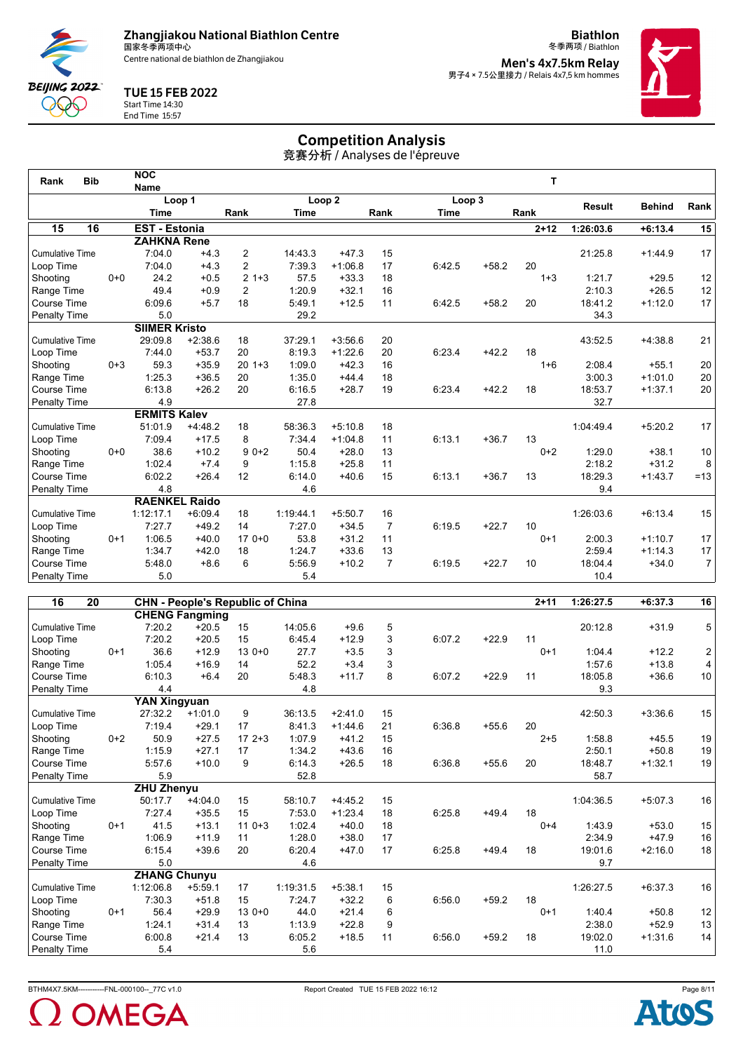

**Biathlon** 冬季两项 / Biathlon **Men's 4x7.5km Relay<br>男子4 × 7.5公里接力 / Relais 4x7,5 km hommes** 



## TUE 15 FEB 2022

**BEIJING 2022** QQQ

#### Start Time 14:30 End Time 15:57

# Competition Analysis

竞赛分析 / Analyses de l'épreuve

| <b>Bib</b><br>Rank     |         | <b>NOC</b>           |           |         |           |                   |      |             |         | T        |               |               |                 |
|------------------------|---------|----------------------|-----------|---------|-----------|-------------------|------|-------------|---------|----------|---------------|---------------|-----------------|
|                        |         | <b>Name</b>          | Loop 1    |         |           | Loop <sub>2</sub> |      | Loop 3      |         |          |               |               |                 |
|                        |         | <b>Time</b>          |           | Rank    | Time      |                   | Rank | <b>Time</b> |         | Rank     | <b>Result</b> | <b>Behind</b> | Rank            |
| 15<br>16               |         | <b>EST - Estonia</b> |           |         |           |                   |      |             |         | $2 + 12$ | 1:26:03.6     | $+6:13.4$     | 15              |
|                        |         | <b>ZAHKNA Rene</b>   |           |         |           |                   |      |             |         |          |               |               |                 |
| <b>Cumulative Time</b> |         | 7:04.0               | $+4.3$    | 2       | 14:43.3   | $+47.3$           | 15   |             |         |          | 21:25.8       | $+1:44.9$     | 17              |
| Loop Time              |         | 7:04.0               | $+4.3$    | 2       | 7:39.3    | $+1:06.8$         | 17   | 6:42.5      | $+58.2$ | 20       |               |               |                 |
| Shooting               | $0 + 0$ | 24.2                 | $+0.5$    | $21+3$  | 57.5      | $+33.3$           | 18   |             |         | $1 + 3$  | 1:21.7        | $+29.5$       | 12              |
| Range Time             |         | 49.4                 | $+0.9$    | 2       | 1:20.9    | $+32.1$           | 16   |             |         |          | 2:10.3        | $+26.5$       | 12              |
| Course Time            |         | 6:09.6               | $+5.7$    | 18      | 5:49.1    | $+12.5$           | 11   | 6:42.5      | $+58.2$ | 20       | 18:41.2       | $+1:12.0$     | 17              |
| Penalty Time           |         | 5.0                  |           |         | 29.2      |                   |      |             |         |          | 34.3          |               |                 |
|                        |         | <b>SIIMER Kristo</b> |           |         |           |                   |      |             |         |          |               |               |                 |
| <b>Cumulative Time</b> |         | 29:09.8              | $+2:38.6$ | 18      | 37:29.1   | $+3:56.6$         | 20   |             |         |          | 43:52.5       | $+4:38.8$     | 21              |
| Loop Time              |         | 7:44.0               | $+53.7$   | 20      | 8:19.3    | $+1:22.6$         | 20   | 6:23.4      | $+42.2$ | 18       |               |               |                 |
| Shooting               | $0 + 3$ | 59.3                 | $+35.9$   | $201+3$ | 1:09.0    | $+42.3$           | 16   |             |         | $1 + 6$  | 2:08.4        | $+55.1$       | 20              |
| Range Time             |         | 1:25.3               | $+36.5$   | 20      | 1:35.0    | $+44.4$           | 18   |             |         |          | 3:00.3        | $+1:01.0$     | 20              |
| Course Time            |         | 6:13.8               | $+26.2$   | 20      | 6:16.5    | $+28.7$           | 19   | 6:23.4      | $+42.2$ | 18       | 18:53.7       | $+1:37.1$     | 20 <sup>2</sup> |
| <b>Penalty Time</b>    |         | 4.9                  |           |         | 27.8      |                   |      |             |         |          | 32.7          |               |                 |
|                        |         | <b>ERMITS Kalev</b>  |           |         |           |                   |      |             |         |          |               |               |                 |
| <b>Cumulative Time</b> |         | 51:01.9              | $+4:48.2$ | 18      | 58:36.3   | $+5:10.8$         | 18   |             |         |          | 1:04:49.4     | $+5:20.2$     | 17              |
| Loop Time              |         | 7:09.4               | $+17.5$   | 8       | 7:34.4    | $+1:04.8$         | 11   | 6:13.1      | $+36.7$ | 13       |               |               |                 |
| Shooting               | $0 + 0$ | 38.6                 | $+10.2$   | $90+2$  | 50.4      | $+28.0$           | 13   |             |         | $0+2$    | 1:29.0        | $+38.1$       | 10 <sup>1</sup> |
| Range Time             |         | 1:02.4               | $+7.4$    | 9       | 1:15.8    | $+25.8$           | 11   |             |         |          | 2:18.2        | $+31.2$       | 8 <sup>1</sup>  |
| Course Time            |         | 6:02.2               | $+26.4$   | 12      | 6:14.0    | $+40.6$           | 15   | 6:13.1      | $+36.7$ | 13       | 18:29.3       | $+1:43.7$     | $=13$           |
| Penalty Time           |         | 4.8                  |           |         | 4.6       |                   |      |             |         |          | 9.4           |               |                 |
|                        |         | <b>RAENKEL Raido</b> |           |         |           |                   |      |             |         |          |               |               |                 |
| <b>Cumulative Time</b> |         | 1:12:17.1            | $+6:09.4$ | 18      | 1:19:44.1 | $+5:50.7$         | 16   |             |         |          | 1:26:03.6     | $+6:13.4$     | 15              |
| Loop Time              |         | 7:27.7               | $+49.2$   | 14      | 7:27.0    | $+34.5$           | 7    | 6:19.5      | $+22.7$ | 10       |               |               |                 |
| Shooting               | $0+1$   | 1:06.5               | $+40.0$   | $170+0$ | 53.8      | $+31.2$           | 11   |             |         | $0+1$    | 2:00.3        | $+1:10.7$     | 17              |
| Range Time             |         | 1:34.7               | $+42.0$   | 18      | 1:24.7    | $+33.6$           | 13   |             |         |          | 2:59.4        | $+1:14.3$     | 17              |
| Course Time            |         | 5:48.0               | $+8.6$    | 6       | 5:56.9    | $+10.2$           | 7    | 6:19.5      | $+22.7$ | 10       | 18:04.4       | $+34.0$       | 7 <sup>1</sup>  |
| Penalty Time           |         | 5.0                  |           |         | 5.4       |                   |      |             |         |          | 10.4          |               |                 |
|                        |         |                      |           |         |           |                   |      |             |         |          |               |               |                 |

| 16<br>20               |         |                     | <b>CHN - People's Republic of China</b> |         |           |           |    |        |         | $2 + 11$ | 1:26:27.5 | $+6:37.3$ | 16                      |
|------------------------|---------|---------------------|-----------------------------------------|---------|-----------|-----------|----|--------|---------|----------|-----------|-----------|-------------------------|
|                        |         |                     | <b>CHENG Fangming</b>                   |         |           |           |    |        |         |          |           |           |                         |
| <b>Cumulative Time</b> |         | 7:20.2              | $+20.5$                                 | 15      | 14:05.6   | $+9.6$    | 5  |        |         |          | 20:12.8   | $+31.9$   | 5                       |
| Loop Time              |         | 7:20.2              | $+20.5$                                 | 15      | 6:45.4    | $+12.9$   | 3  | 6:07.2 | $+22.9$ | 11       |           |           |                         |
| Shooting               | $0+1$   | 36.6                | $+12.9$                                 | $130+0$ | 27.7      | $+3.5$    | 3  |        |         | $0+1$    | 1:04.4    | $+12.2$   | $\overline{\mathbf{c}}$ |
| Range Time             |         | 1:05.4              | $+16.9$                                 | 14      | 52.2      | $+3.4$    | 3  |        |         |          | 1:57.6    | $+13.8$   | $\overline{\mathbf{4}}$ |
| Course Time            |         | 6:10.3              | $+6.4$                                  | 20      | 5:48.3    | $+11.7$   | 8  | 6:07.2 | $+22.9$ | 11       | 18:05.8   | $+36.6$   | $10$                    |
| Penalty Time           |         | 4.4                 |                                         |         | 4.8       |           |    |        |         |          | 9.3       |           |                         |
|                        |         | <b>YAN Xingyuan</b> |                                         |         |           |           |    |        |         |          |           |           |                         |
| <b>Cumulative Time</b> |         | 27:32.2             | $+1:01.0$                               | 9       | 36:13.5   | $+2:41.0$ | 15 |        |         |          | 42:50.3   | $+3:36.6$ | 15                      |
| Loop Time              |         | 7:19.4              | $+29.1$                                 | 17      | 8:41.3    | $+1:44.6$ | 21 | 6:36.8 | $+55.6$ | 20       |           |           |                         |
| Shooting               | $0+2$   | 50.9                | $+27.5$                                 | $172+3$ | 1:07.9    | $+41.2$   | 15 |        |         | $2 + 5$  | 1:58.8    | $+45.5$   | 19                      |
| Range Time             |         | 1:15.9              | $+27.1$                                 | 17      | 1:34.2    | $+43.6$   | 16 |        |         |          | 2:50.1    | $+50.8$   | 19                      |
| <b>Course Time</b>     |         | 5:57.6              | $+10.0$                                 | 9       | 6:14.3    | $+26.5$   | 18 | 6:36.8 | $+55.6$ | 20       | 18:48.7   | $+1:32.1$ | 19                      |
| Penalty Time           |         | 5.9                 |                                         |         | 52.8      |           |    |        |         |          | 58.7      |           |                         |
|                        |         | <b>ZHU Zhenyu</b>   |                                         |         |           |           |    |        |         |          |           |           |                         |
| <b>Cumulative Time</b> |         | 50:17.7             | $+4:04.0$                               | 15      | 58:10.7   | $+4:45.2$ | 15 |        |         |          | 1:04:36.5 | $+5:07.3$ | 16                      |
| Loop Time              |         | 7:27.4              | $+35.5$                                 | 15      | 7:53.0    | $+1:23.4$ | 18 | 6:25.8 | $+49.4$ | 18       |           |           |                         |
| Shooting               | $0 + 1$ | 41.5                | $+13.1$                                 | $110+3$ | 1:02.4    | $+40.0$   | 18 |        |         | $0 + 4$  | 1:43.9    | $+53.0$   | 15                      |
| Range Time             |         | 1:06.9              | $+11.9$                                 | 11      | 1:28.0    | $+38.0$   | 17 |        |         |          | 2:34.9    | $+47.9$   | $16\,$                  |
| <b>Course Time</b>     |         | 6:15.4              | $+39.6$                                 | 20      | 6:20.4    | $+47.0$   | 17 | 6:25.8 | $+49.4$ | 18       | 19:01.6   | $+2:16.0$ | 18                      |
| Penalty Time           |         | 5.0                 |                                         |         | 4.6       |           |    |        |         |          | 9.7       |           |                         |
|                        |         | <b>ZHANG Chunyu</b> |                                         |         |           |           |    |        |         |          |           |           |                         |
| <b>Cumulative Time</b> |         | 1:12:06.8           | $+5:59.1$                               | 17      | 1:19:31.5 | $+5:38.1$ | 15 |        |         |          | 1:26:27.5 | $+6:37.3$ | 16                      |
| Loop Time              |         | 7:30.3              | $+51.8$                                 | 15      | 7:24.7    | $+32.2$   | 6  | 6:56.0 | $+59.2$ | 18       |           |           |                         |
| Shooting               | $0 + 1$ | 56.4                | $+29.9$                                 | $130+0$ | 44.0      | $+21.4$   | 6  |        |         | $0 + 1$  | 1:40.4    | $+50.8$   | 12                      |
| Range Time             |         | 1:24.1              | $+31.4$                                 | 13      | 1:13.9    | $+22.8$   | 9  |        |         |          | 2:38.0    | $+52.9$   | 13                      |
| <b>Course Time</b>     |         | 6:00.8              | $+21.4$                                 | 13      | 6:05.2    | $+18.5$   | 11 | 6:56.0 | $+59.2$ | 18       | 19:02.0   | $+1:31.6$ | 14                      |
| <b>Penalty Time</b>    |         | 5.4                 |                                         |         | 5.6       |           |    |        |         |          | 11.0      |           |                         |



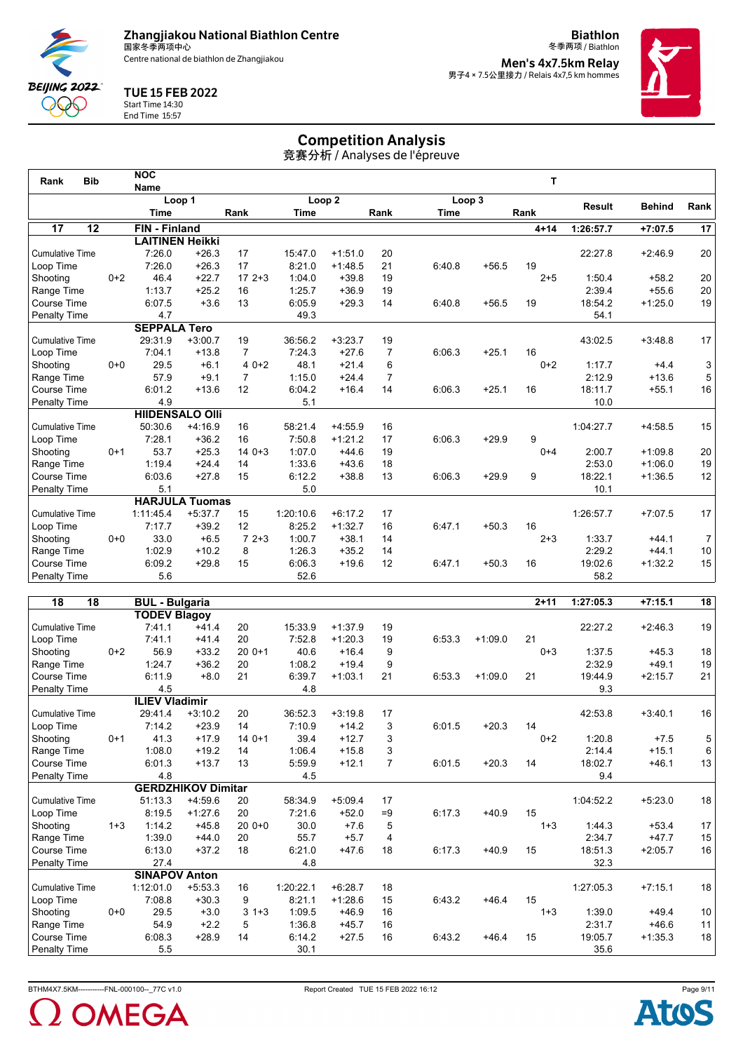Centre national de biathlon de Zhangjiakou

**Biathlon** 冬季两项 / Biathlon **Men's 4x7.5km Relay<br>男子4 × 7.5公里接力 / Relais 4x7,5 km hommes** 



## TUE 15 FEB 2022

**BEIJING 2022** QQQ

Start Time 14:30 End Time 15:57

# Competition Analysis

竞赛分析 / Analyses de l'épreuve

| <b>Bib</b><br>Rank     |         | <b>NOC</b>             |                 |                |             |                   |                |             |         | т        |           |               |                |
|------------------------|---------|------------------------|-----------------|----------------|-------------|-------------------|----------------|-------------|---------|----------|-----------|---------------|----------------|
|                        |         | <b>Name</b>            | Loop 1          |                |             | Loop <sub>2</sub> |                | Loop 3      |         |          |           |               |                |
|                        |         | <b>Time</b>            |                 | Rank           | <b>Time</b> |                   | Rank           | <b>Time</b> |         | Rank     | Result    | <b>Behind</b> | Rank           |
| 17<br>12               |         | <b>FIN</b> - Finland   |                 |                |             |                   |                |             |         | $4 + 14$ | 1:26:57.7 | $+7:07.5$     | 17             |
|                        |         | <b>LAITINEN Heikki</b> |                 |                |             |                   |                |             |         |          |           |               |                |
| <b>Cumulative Time</b> |         | 7:26.0                 | $+26.3$         | 17             | 15:47.0     | $+1:51.0$         | 20             |             |         |          | 22:27.8   | $+2:46.9$     | 20             |
| Loop Time              |         | 7:26.0                 | $+26.3$         | 17             | 8:21.0      | $+1:48.5$         | 21             | 6:40.8      | $+56.5$ | 19       |           |               |                |
| Shooting               | $0+2$   | 46.4                   | $+22.7$         | $172+3$        | 1:04.0      | $+39.8$           | 19             |             |         | $2 + 5$  | 1:50.4    | $+58.2$       | 20             |
| Range Time             |         | 1:13.7                 | $+25.2$         | 16             | 1:25.7      | $+36.9$           | 19             |             |         |          | 2:39.4    | $+55.6$       | 20             |
| Course Time            |         | 6:07.5                 | $+3.6$          | 13             | 6:05.9      | $+29.3$           | 14             | 6:40.8      | $+56.5$ | 19       | 18:54.2   | $+1:25.0$     | 19             |
| Penalty Time           |         | 4.7                    |                 |                | 49.3        |                   |                |             |         |          | 54.1      |               |                |
|                        |         | <b>SEPPALA Tero</b>    |                 |                |             |                   |                |             |         |          |           |               |                |
| <b>Cumulative Time</b> |         | 29:31.9                | $+3:00.7$       | 19             | 36:56.2     | $+3:23.7$         | 19             |             |         |          | 43:02.5   | $+3:48.8$     | 17             |
| Loop Time              |         | 7:04.1                 | $+13.8$         | $\overline{7}$ | 7:24.3      | $+27.6$           | 7              | 6:06.3      | $+25.1$ | 16       |           |               |                |
| Shooting               | $0 + 0$ | 29.5                   | $+6.1$          | $40+2$         | 48.1        | $+21.4$           | 6              |             |         | $0+2$    | 1:17.7    | $+4.4$        | 3              |
| Range Time             |         | 57.9                   | $+9.1$          | $\overline{7}$ | 1:15.0      | $+24.4$           | $\overline{7}$ |             |         |          | 2:12.9    | $+13.6$       | 5              |
| Course Time            |         | 6:01.2                 | $+13.6$         | 12             | 6:04.2      | $+16.4$           | 14             | 6:06.3      | $+25.1$ | 16       | 18:11.7   | $+55.1$       | 16             |
| Penalty Time           |         | 4.9                    |                 |                | 5.1         |                   |                |             |         |          | 10.0      |               |                |
|                        |         | <b>HIIDENSALO OIII</b> |                 |                |             |                   |                |             |         |          |           |               |                |
| <b>Cumulative Time</b> |         | 50:30.6                | $+4:16.9$       | 16             | 58:21.4     | $+4:55.9$         | 16             |             |         |          | 1:04:27.7 | $+4:58.5$     | 15             |
| Loop Time              |         | 7:28.1                 | $+36.2$         | 16             | 7:50.8      | $+1:21.2$         | 17             | 6:06.3      | $+29.9$ | 9        |           |               |                |
| Shooting               | $0 + 1$ | 53.7                   | $+25.3$         | $140+3$        | 1:07.0      | $+44.6$           | 19             |             |         | $0 + 4$  | 2:00.7    | $+1:09.8$     | 20             |
| Range Time             |         | 1:19.4                 | $+24.4$         | 14             | 1:33.6      | $+43.6$           | 18             |             |         |          | 2:53.0    | $+1:06.0$     | 19             |
| Course Time            |         | 6:03.6                 | $+27.8$         | 15             | 6:12.2      | $+38.8$           | 13             | 6:06.3      | $+29.9$ | 9        | 18:22.1   | $+1:36.5$     | 12             |
| Penalty Time           |         | 5.1                    |                 |                | 5.0         |                   |                |             |         |          | 10.1      |               |                |
|                        |         | <b>HARJULA Tuomas</b>  |                 |                |             |                   |                |             |         |          |           |               |                |
| <b>Cumulative Time</b> |         | 1:11:45.4              | $+5:37.7$       | 15             | 1:20:10.6   | $+6:17.2$         | 17             |             |         |          | 1:26:57.7 | $+7:07.5$     | 17             |
| Loop Time              |         | 7:17.7                 | $+39.2$         | 12             | 8:25.2      | $+1:32.7$         | 16             | 6:47.1      | $+50.3$ | 16       |           |               |                |
| Shooting               | $0 + 0$ | 33.0                   | $+6.5$          | $72+3$         | 1:00.7      | $+38.1$           | 14             |             |         | $2 + 3$  | 1:33.7    | $+44.1$       | 7 <sup>1</sup> |
| Range Time             |         | 1:02.9                 | $+10.2$         | 8              | 1:26.3      | $+35.2$           | 14             |             |         |          | 2:29.2    | $+44.1$       | 10             |
| Course Time            |         | 6:09.2                 | $+29.8$         | 15             | 6:06.3      | $+19.6$           | 12             | 6:47.1      | $+50.3$ | 16       | 19:02.6   | $+1:32.2$     | 15             |
| Penalty Time           |         | 5.6                    |                 |                | 52.6        |                   |                |             |         |          | 58.2      |               |                |
|                        |         |                        |                 |                |             |                   |                |             |         |          |           |               |                |
| 12<br>10               |         | <b>RHI</b>             | <b>Rulgaria</b> |                |             |                   |                |             |         | $2 + 44$ | 1.27.052  | $17.4E$ 4     | 10             |

| 18<br>18               |         | <b>BUL - Bulgaria</b> |                           |              |           |           |                |        |           | $2 + 11$ | 1:27:05.3 | $+7:15.1$ | 18 |
|------------------------|---------|-----------------------|---------------------------|--------------|-----------|-----------|----------------|--------|-----------|----------|-----------|-----------|----|
|                        |         | <b>TODEV Blagoy</b>   |                           |              |           |           |                |        |           |          |           |           |    |
| <b>Cumulative Time</b> |         | 7:41.1                | $+41.4$                   | 20           | 15:33.9   | $+1:37.9$ | 19             |        |           |          | 22:27.2   | $+2:46.3$ | 19 |
| Loop Time              |         | 7:41.1                | $+41.4$                   | 20           | 7:52.8    | $+1:20.3$ | 19             | 6:53.3 | $+1:09.0$ | 21       |           |           |    |
| Shooting               | $0+2$   | 56.9                  | $+33.2$                   | $200+1$      | 40.6      | $+16.4$   | 9              |        |           | $0 + 3$  | 1:37.5    | $+45.3$   | 18 |
| Range Time             |         | 1:24.7                | $+36.2$                   | 20           | 1:08.2    | $+19.4$   | 9              |        |           |          | 2:32.9    | $+49.1$   | 19 |
| Course Time            |         | 6:11.9                | $+8.0$                    | 21           | 6:39.7    | $+1:03.1$ | 21             | 6:53.3 | $+1:09.0$ | 21       | 19:44.9   | $+2:15.7$ | 21 |
| <b>Penalty Time</b>    |         | 4.5                   |                           |              | 4.8       |           |                |        |           |          | 9.3       |           |    |
|                        |         | <b>ILIEV Vladimir</b> |                           |              |           |           |                |        |           |          |           |           |    |
| <b>Cumulative Time</b> |         | 29:41.4               | $+3:10.2$                 | 20           | 36:52.3   | $+3:19.8$ | 17             |        |           |          | 42:53.8   | $+3:40.1$ | 16 |
| Loop Time              |         | 7:14.2                | $+23.9$                   | 14           | 7:10.9    | $+14.2$   | 3              | 6:01.5 | $+20.3$   | 14       |           |           |    |
| Shooting               | $0 + 1$ | 41.3                  | $+17.9$                   | $140+1$      | 39.4      | $+12.7$   | 3              |        |           | $0+2$    | 1:20.8    | $+7.5$    | 5  |
| Range Time             |         | 1:08.0                | $+19.2$                   | 14           | 1:06.4    | $+15.8$   | 3              |        |           |          | 2:14.4    | $+15.1$   | 6  |
| Course Time            |         | 6:01.3                | $+13.7$                   | 13           | 5:59.9    | $+12.1$   | $\overline{7}$ | 6:01.5 | $+20.3$   | 14       | 18:02.7   | $+46.1$   | 13 |
| Penalty Time           |         | 4.8                   |                           |              | 4.5       |           |                |        |           |          | 9.4       |           |    |
|                        |         |                       | <b>GERDZHIKOV Dimitar</b> |              |           |           |                |        |           |          |           |           |    |
| <b>Cumulative Time</b> |         | 51:13.3               | $+4:59.6$                 | 20           | 58:34.9   | $+5:09.4$ | 17             |        |           |          | 1:04:52.2 | $+5:23.0$ | 18 |
| Loop Time              |         | 8:19.5                | $+1:27.6$                 | 20           | 7:21.6    | $+52.0$   | $=9$           | 6:17.3 | $+40.9$   | 15       |           |           |    |
| Shooting               | $1 + 3$ | 1:14.2                | $+45.8$                   | $200+0$      | 30.0      | $+7.6$    | 5              |        |           | $1 + 3$  | 1:44.3    | $+53.4$   | 17 |
| Range Time             |         | 1:39.0                | $+44.0$                   | 20           | 55.7      | $+5.7$    | 4              |        |           |          | 2:34.7    | $+47.7$   | 15 |
| Course Time            |         | 6:13.0                | $+37.2$                   | 18           | 6:21.0    | $+47.6$   | 18             | 6:17.3 | $+40.9$   | 15       | 18:51.3   | $+2:05.7$ | 16 |
| Penalty Time           |         | 27.4                  |                           |              | 4.8       |           |                |        |           |          | 32.3      |           |    |
|                        |         | <b>SINAPOV Anton</b>  |                           |              |           |           |                |        |           |          |           |           |    |
| <b>Cumulative Time</b> |         | 1:12:01.0             | $+5:53.3$                 | 16           | 1:20:22.1 | $+6:28.7$ | 18             |        |           |          | 1:27:05.3 | $+7:15.1$ | 18 |
| Loop Time              |         | 7:08.8                | $+30.3$                   | 9            | 8:21.1    | $+1:28.6$ | 15             | 6:43.2 | $+46.4$   | 15       |           |           |    |
| Shooting               | $0 + 0$ | 29.5                  | $+3.0$                    | 3<br>$1 + 3$ | 1:09.5    | $+46.9$   | 16             |        |           | $1 + 3$  | 1:39.0    | $+49.4$   | 10 |
| Range Time             |         | 54.9                  | $+2.2$                    | 5            | 1:36.8    | $+45.7$   | 16             |        |           |          | 2:31.7    | $+46.6$   | 11 |
| Course Time            |         | 6:08.3                | $+28.9$                   | 14           | 6:14.2    | $+27.5$   | 16             | 6:43.2 | $+46.4$   | 15       | 19:05.7   | $+1:35.3$ | 18 |
| <b>Penalty Time</b>    |         | 5.5                   |                           |              | 30.1      |           |                |        |           |          | 35.6      |           |    |



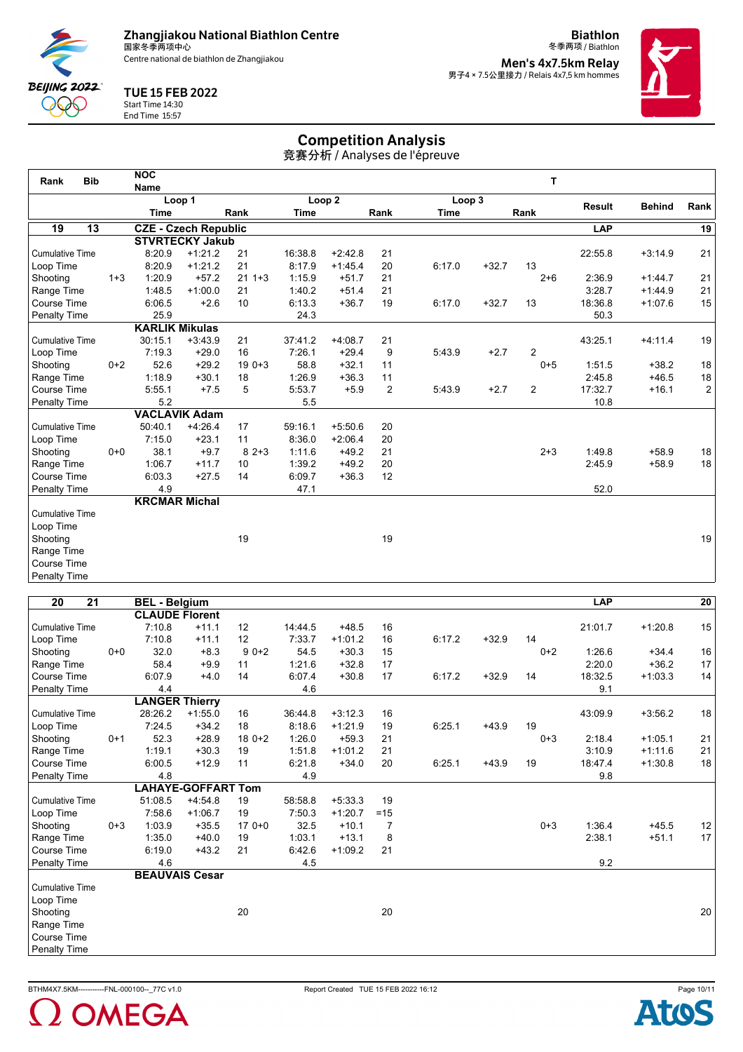Centre national de biathlon de Zhangjiakou

**Biathlon** 冬季两项 / Biathlon **Men's 4x7.5km Relay<br>男子4 × 7.5公里接力 / Relais 4x7,5 km hommes** 



## TUE 15 FEB 2022

Start Time 14:30 End Time 15:57

BEIJING 2022 **QQQ** 

# Competition Analysis

竞赛分析 / Analyses de l'épreuve

| Rank                   | <b>Bib</b> | <b>NOC</b>                  |           |         |         |                   |      |             |         | T              |               |               |                |
|------------------------|------------|-----------------------------|-----------|---------|---------|-------------------|------|-------------|---------|----------------|---------------|---------------|----------------|
|                        |            | Name                        | Loop 1    |         |         | Loop <sub>2</sub> |      | Loop 3      |         |                |               |               |                |
|                        |            | <b>Time</b>                 |           | Rank    | Time    |                   | Rank | <b>Time</b> |         | Rank           | <b>Result</b> | <b>Behind</b> | Rank           |
| 19                     | 13         | <b>CZE - Czech Republic</b> |           |         |         |                   |      |             |         |                | <b>LAP</b>    |               | 19             |
|                        |            | <b>STVRTECKY Jakub</b>      |           |         |         |                   |      |             |         |                |               |               |                |
| <b>Cumulative Time</b> |            | 8:20.9                      | $+1:21.2$ | 21      | 16:38.8 | $+2:42.8$         | 21   |             |         |                | 22:55.8       | $+3:14.9$     | 21             |
| Loop Time              |            | 8:20.9                      | $+1:21.2$ | 21      | 8:17.9  | $+1:45.4$         | 20   | 6:17.0      | $+32.7$ | 13             |               |               |                |
| Shooting               | $1 + 3$    | 1:20.9                      | $+57.2$   | $211+3$ | 1:15.9  | $+51.7$           | 21   |             |         | $2 + 6$        | 2:36.9        | $+1:44.7$     | 21             |
| Range Time             |            | 1:48.5                      | $+1:00.0$ | 21      | 1:40.2  | $+51.4$           | 21   |             |         |                | 3:28.7        | $+1:44.9$     | 21             |
| Course Time            |            | 6:06.5                      | $+2.6$    | 10      | 6:13.3  | $+36.7$           | 19   | 6:17.0      | $+32.7$ | 13             | 18:36.8       | $+1:07.6$     | 15             |
| <b>Penalty Time</b>    |            | 25.9                        |           |         | 24.3    |                   |      |             |         |                | 50.3          |               |                |
|                        |            | <b>KARLIK Mikulas</b>       |           |         |         |                   |      |             |         |                |               |               |                |
| <b>Cumulative Time</b> |            | 30:15.1                     | $+3:43.9$ | 21      | 37:41.2 | $+4:08.7$         | 21   |             |         |                | 43:25.1       | $+4.11.4$     | 19             |
| Loop Time              |            | 7:19.3                      | $+29.0$   | 16      | 7:26.1  | $+29.4$           | 9    | 5:43.9      | $+2.7$  | $\overline{2}$ |               |               |                |
| Shooting               | $0+2$      | 52.6                        | $+29.2$   | $190+3$ | 58.8    | $+32.1$           | 11   |             |         | $0 + 5$        | 1:51.5        | $+38.2$       | 18             |
| Range Time             |            | 1:18.9                      | $+30.1$   | 18      | 1:26.9  | $+36.3$           | 11   |             |         |                | 2:45.8        | $+46.5$       | 18             |
| Course Time            |            | 5:55.1                      | $+7.5$    | 5       | 5:53.7  | $+5.9$            | 2    | 5:43.9      | $+2.7$  | 2              | 17:32.7       | $+16.1$       | $\overline{2}$ |
| Penalty Time           |            | 5.2                         |           |         | 5.5     |                   |      |             |         |                | 10.8          |               |                |
|                        |            | <b>VACLAVIK Adam</b>        |           |         |         |                   |      |             |         |                |               |               |                |
| <b>Cumulative Time</b> |            | 50:40.1                     | $+4:26.4$ | 17      | 59:16.1 | $+5:50.6$         | 20   |             |         |                |               |               |                |
| Loop Time              |            | 7:15.0                      | $+23.1$   | 11      | 8:36.0  | $+2:06.4$         | 20   |             |         |                |               |               |                |
| Shooting               | $0+0$      | 38.1                        | $+9.7$    | $82+3$  | 1:11.6  | $+49.2$           | 21   |             |         | $2 + 3$        | 1:49.8        | $+58.9$       | 18             |
| Range Time             |            | 1:06.7                      | $+11.7$   | 10      | 1:39.2  | $+49.2$           | 20   |             |         |                | 2:45.9        | $+58.9$       | 18             |
| Course Time            |            | 6:03.3                      | $+27.5$   | 14      | 6:09.7  | $+36.3$           | 12   |             |         |                |               |               |                |
| Penalty Time           |            | 4.9                         |           |         | 47.1    |                   |      |             |         |                | 52.0          |               |                |
|                        |            | <b>KRCMAR Michal</b>        |           |         |         |                   |      |             |         |                |               |               |                |
| <b>Cumulative Time</b> |            |                             |           |         |         |                   |      |             |         |                |               |               |                |
| Loop Time              |            |                             |           |         |         |                   |      |             |         |                |               |               |                |
| Shooting               |            |                             |           | 19      |         |                   | 19   |             |         |                |               |               | 19             |
| Range Time             |            |                             |           |         |         |                   |      |             |         |                |               |               |                |
| Course Time            |            |                             |           |         |         |                   |      |             |         |                |               |               |                |
| <b>Penalty Time</b>    |            |                             |           |         |         |                   |      |             |         |                |               |               |                |

| 20<br>21               |         | <b>BEL - Belgium</b>  |                           |         |         |           |       |        |         |         | <b>LAP</b> |           | 20 |
|------------------------|---------|-----------------------|---------------------------|---------|---------|-----------|-------|--------|---------|---------|------------|-----------|----|
|                        |         | <b>CLAUDE Florent</b> |                           |         |         |           |       |        |         |         |            |           |    |
| <b>Cumulative Time</b> |         | 7:10.8                | $+11.1$                   | 12      | 14:44.5 | $+48.5$   | 16    |        |         |         | 21:01.7    | $+1:20.8$ | 15 |
| Loop Time              |         | 7:10.8                | $+11.1$                   | 12      | 7:33.7  | $+1:01.2$ | 16    | 6:17.2 | $+32.9$ | 14      |            |           |    |
| Shooting               | $0 + 0$ | 32.0                  | $+8.3$                    | $90+2$  | 54.5    | $+30.3$   | 15    |        |         | $0+2$   | 1:26.6     | $+34.4$   | 16 |
| Range Time             |         | 58.4                  | $+9.9$                    | 11      | 1:21.6  | $+32.8$   | 17    |        |         |         | 2:20.0     | $+36.2$   | 17 |
| Course Time            |         | 6:07.9                | $+4.0$                    | 14      | 6:07.4  | $+30.8$   | 17    | 6:17.2 | $+32.9$ | 14      | 18:32.5    | $+1:03.3$ | 14 |
| Penalty Time           |         | 4.4                   |                           |         | 4.6     |           |       |        |         |         | 9.1        |           |    |
|                        |         | <b>LANGER Thierry</b> |                           |         |         |           |       |        |         |         |            |           |    |
| <b>Cumulative Time</b> |         | 28:26.2               | $+1:55.0$                 | 16      | 36:44.8 | $+3:12.3$ | 16    |        |         |         | 43:09.9    | $+3:56.2$ | 18 |
| Loop Time              |         | 7:24.5                | $+34.2$                   | 18      | 8:18.6  | $+1:21.9$ | 19    | 6:25.1 | $+43.9$ | 19      |            |           |    |
| Shooting               | $0+1$   | 52.3                  | $+28.9$                   | $180+2$ | 1:26.0  | $+59.3$   | 21    |        |         | $0 + 3$ | 2:18.4     | $+1:05.1$ | 21 |
| Range Time             |         | 1:19.1                | $+30.3$                   | 19      | 1:51.8  | $+1:01.2$ | 21    |        |         |         | 3:10.9     | $+1:11.6$ | 21 |
| <b>Course Time</b>     |         | 6:00.5                | $+12.9$                   | 11      | 6:21.8  | $+34.0$   | 20    | 6:25.1 | $+43.9$ | 19      | 18:47.4    | $+1:30.8$ | 18 |
| Penalty Time           |         | 4.8                   |                           |         | 4.9     |           |       |        |         |         | 9.8        |           |    |
|                        |         |                       | <b>LAHAYE-GOFFART Tom</b> |         |         |           |       |        |         |         |            |           |    |
| <b>Cumulative Time</b> |         | 51:08.5               | $+4:54.8$                 | 19      | 58:58.8 | $+5:33.3$ | 19    |        |         |         |            |           |    |
| Loop Time              |         | 7:58.6                | $+1:06.7$                 | 19      | 7:50.3  | $+1:20.7$ | $=15$ |        |         |         |            |           |    |
| Shooting               | $0 + 3$ | 1:03.9                | $+35.5$                   | $170+0$ | 32.5    | $+10.1$   | 7     |        |         | $0 + 3$ | 1:36.4     | $+45.5$   | 12 |
| Range Time             |         | 1:35.0                | $+40.0$                   | 19      | 1:03.1  | $+13.1$   | 8     |        |         |         | 2:38.1     | $+51.1$   | 17 |
| <b>Course Time</b>     |         | 6:19.0                | $+43.2$                   | 21      | 6:42.6  | $+1:09.2$ | 21    |        |         |         |            |           |    |
| Penalty Time           |         | 4.6                   |                           |         | 4.5     |           |       |        |         |         | 9.2        |           |    |
|                        |         |                       | <b>BEAUVAIS Cesar</b>     |         |         |           |       |        |         |         |            |           |    |
| <b>Cumulative Time</b> |         |                       |                           |         |         |           |       |        |         |         |            |           |    |
| Loop Time              |         |                       |                           |         |         |           |       |        |         |         |            |           |    |
| Shooting               |         |                       |                           | 20      |         |           | 20    |        |         |         |            |           | 20 |
| Range Time             |         |                       |                           |         |         |           |       |        |         |         |            |           |    |
| <b>Course Time</b>     |         |                       |                           |         |         |           |       |        |         |         |            |           |    |
| <b>Penalty Time</b>    |         |                       |                           |         |         |           |       |        |         |         |            |           |    |



**OMEGA**